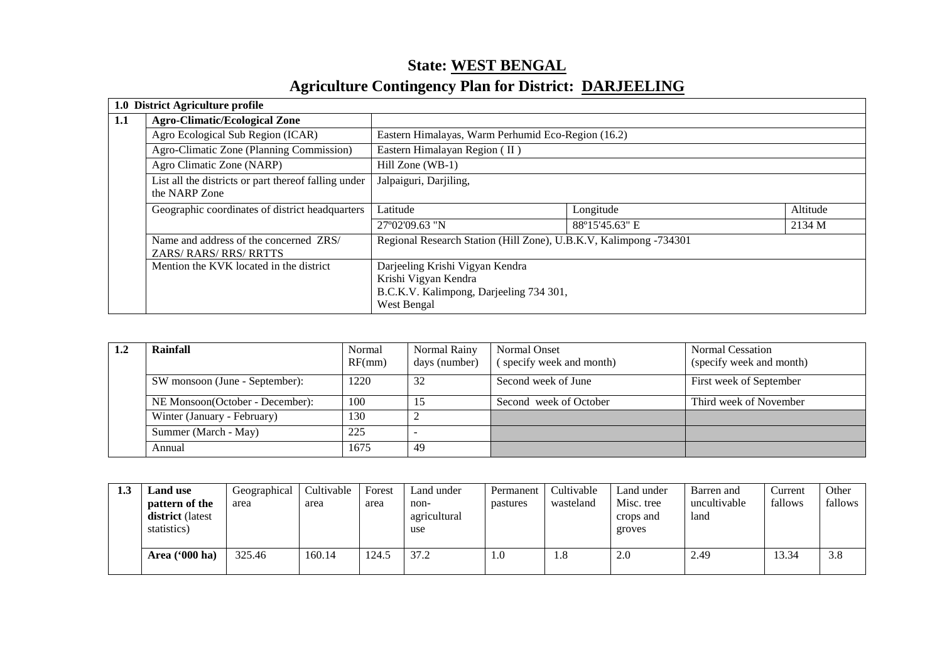# **State: WEST BENGALAgriculture Contingency Plan for District: DARJEELING**

|     | 1.0 District Agriculture profile                                        |                                                                   |                |          |  |  |
|-----|-------------------------------------------------------------------------|-------------------------------------------------------------------|----------------|----------|--|--|
| 1.1 | <b>Agro-Climatic/Ecological Zone</b>                                    |                                                                   |                |          |  |  |
|     | Agro Ecological Sub Region (ICAR)                                       | Eastern Himalayas, Warm Perhumid Eco-Region (16.2)                |                |          |  |  |
|     | Agro-Climatic Zone (Planning Commission)                                | Eastern Himalayan Region (II)                                     |                |          |  |  |
|     | Agro Climatic Zone (NARP)                                               | $Hill$ Zone (WB-1)                                                |                |          |  |  |
|     | List all the districts or part thereof falling under<br>the NARP Zone   | Jalpaiguri, Darjiling,                                            |                |          |  |  |
|     | Geographic coordinates of district headquarters                         | Latitude                                                          | Longitude      | Altitude |  |  |
|     |                                                                         | 27°02′09.63 "N                                                    | 88°15'45.63" E | 2134 M   |  |  |
|     | Name and address of the concerned ZRS/<br><b>ZARS/ RARS/ RRS/ RRTTS</b> | Regional Research Station (Hill Zone), U.B.K.V, Kalimpong -734301 |                |          |  |  |
|     | Mention the KVK located in the district                                 | Darjeeling Krishi Vigyan Kendra                                   |                |          |  |  |
|     |                                                                         | Krishi Vigyan Kendra                                              |                |          |  |  |
|     |                                                                         | B.C.K.V. Kalimpong, Darjeeling 734 301,                           |                |          |  |  |
|     |                                                                         | West Bengal                                                       |                |          |  |  |

| 1.2 | Rainfall                        | Normal<br>RF(mm) | Normal Rainy<br>days (number) | Normal Onset<br>(specify week and month) | <b>Normal Cessation</b><br>(specify week and month) |
|-----|---------------------------------|------------------|-------------------------------|------------------------------------------|-----------------------------------------------------|
|     | SW monsoon (June - September):  | 1220             | 32                            | Second week of June                      | First week of September                             |
|     | NE Monsoon(October - December): | 100              |                               | Second week of October                   | Third week of November                              |
|     | Winter (January - February)     | 130              |                               |                                          |                                                     |
|     | Summer (March - May)            |                  |                               |                                          |                                                     |
|     | Annual                          | 1675             | 49                            |                                          |                                                     |

| 1.3 | <b>Land use</b><br>pattern of the<br><b>district</b> (latest<br>statistics) | Geographical<br>area | Cultivable<br>area | Forest<br>area | Land under<br>non-<br>agricultural<br>use | Permanent<br>pastures | Cultivable<br>wasteland | Land under<br>Misc. tree<br>crops and<br>groves | Barren and<br>uncultivable<br>land | Current<br>fallows | Other<br>fallows |
|-----|-----------------------------------------------------------------------------|----------------------|--------------------|----------------|-------------------------------------------|-----------------------|-------------------------|-------------------------------------------------|------------------------------------|--------------------|------------------|
|     | Area ('000 ha)                                                              | 325.46               | 160.14             | 124.5          | 37.2                                      | 1.0                   | 1.C                     | 2.0                                             | 2.49                               | 13.34              | 3.8              |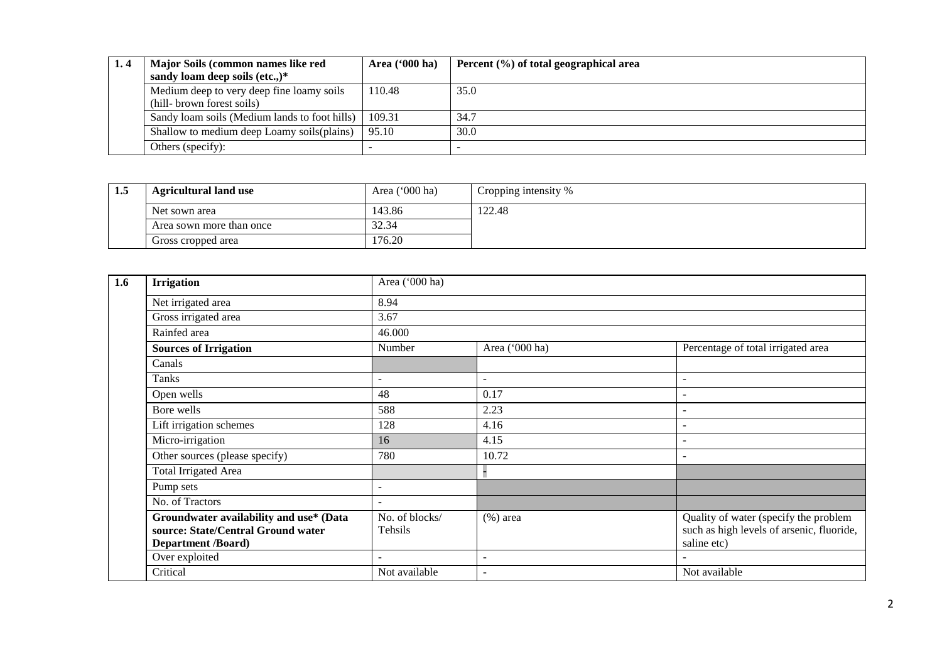| Major Soils (common names like red            | Area $(900 \text{ ha})$ | Percent (%) of total geographical area |
|-----------------------------------------------|-------------------------|----------------------------------------|
| sandy loam deep soils (etc.,) $*$             |                         |                                        |
| Medium deep to very deep fine loamy soils     | 110.48                  | 35.0                                   |
| (hill- brown forest soils)                    |                         |                                        |
| Sandy loam soils (Medium lands to foot hills) | 109.31                  | 34.7                                   |
| Shallow to medium deep Loamy soils (plains)   | 95.10                   | 30.0                                   |
| Others (specify):                             |                         |                                        |

| 1.5 | <b>Agricultural land use</b> | Area $('000 ha)$ | Cropping intensity % |
|-----|------------------------------|------------------|----------------------|
|     | Net sown area                | 143.86           | 122.48               |
|     | Area sown more than once     | 32.34            |                      |
|     | Gross cropped area           | 176.20           |                      |

| 1.6 | <b>Irrigation</b>                                                                                          | Area ('000 ha)            |                          |                                                                                                   |  |  |  |  |  |  |
|-----|------------------------------------------------------------------------------------------------------------|---------------------------|--------------------------|---------------------------------------------------------------------------------------------------|--|--|--|--|--|--|
|     | Net irrigated area                                                                                         | 8.94                      |                          |                                                                                                   |  |  |  |  |  |  |
|     | Gross irrigated area                                                                                       | 3.67                      |                          |                                                                                                   |  |  |  |  |  |  |
|     | Rainfed area                                                                                               | 46.000                    |                          |                                                                                                   |  |  |  |  |  |  |
|     | <b>Sources of Irrigation</b>                                                                               | Number                    | Area ('000 ha)           | Percentage of total irrigated area                                                                |  |  |  |  |  |  |
|     | Canals                                                                                                     |                           |                          |                                                                                                   |  |  |  |  |  |  |
|     | Tanks                                                                                                      | $\overline{\phantom{a}}$  | $\overline{\phantom{a}}$ |                                                                                                   |  |  |  |  |  |  |
|     | Open wells                                                                                                 | 48                        | 0.17                     |                                                                                                   |  |  |  |  |  |  |
|     | Bore wells                                                                                                 | 588                       | 2.23                     |                                                                                                   |  |  |  |  |  |  |
|     | Lift irrigation schemes                                                                                    | 128                       | 4.16                     |                                                                                                   |  |  |  |  |  |  |
|     | Micro-irrigation                                                                                           | 16                        | 4.15                     |                                                                                                   |  |  |  |  |  |  |
|     | Other sources (please specify)                                                                             | 780                       | 10.72                    | $\overline{\phantom{a}}$                                                                          |  |  |  |  |  |  |
|     | Total Irrigated Area                                                                                       |                           |                          |                                                                                                   |  |  |  |  |  |  |
|     | Pump sets                                                                                                  | $\overline{\phantom{0}}$  |                          |                                                                                                   |  |  |  |  |  |  |
|     | No. of Tractors                                                                                            |                           |                          |                                                                                                   |  |  |  |  |  |  |
|     | Groundwater availability and use* (Data<br>source: State/Central Ground water<br><b>Department /Board)</b> | No. of blocks/<br>Tehsils | $(\%)$ area              | Quality of water (specify the problem<br>such as high levels of arsenic, fluoride,<br>saline etc) |  |  |  |  |  |  |
|     | Over exploited                                                                                             |                           | $\overline{a}$           |                                                                                                   |  |  |  |  |  |  |
|     | Critical                                                                                                   | Not available             | $\overline{\phantom{a}}$ | Not available                                                                                     |  |  |  |  |  |  |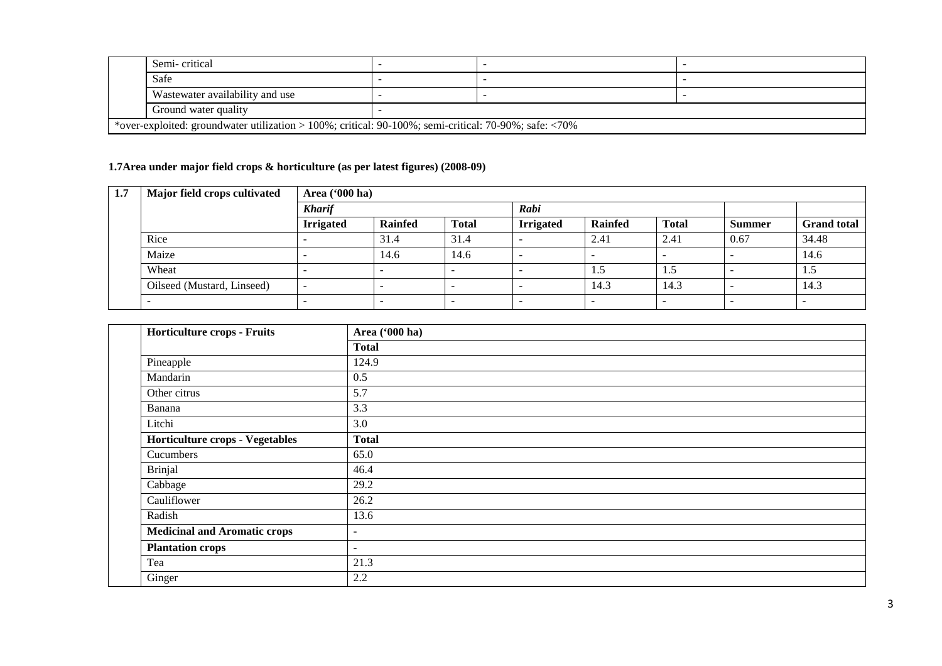| Semi-critical                                                                                                   |  |  |  |  |  |  |
|-----------------------------------------------------------------------------------------------------------------|--|--|--|--|--|--|
| Safe                                                                                                            |  |  |  |  |  |  |
| Wastewater availability and use                                                                                 |  |  |  |  |  |  |
| Ground water quality                                                                                            |  |  |  |  |  |  |
| *over-exploited: groundwater utilization > 100%; critical: 90-100%; semi-critical: 70-90%; safe: $\langle 70\%$ |  |  |  |  |  |  |

#### **1.7Area under major field crops & horticulture (as per latest figures) (2008-09)**

| 1.7 | Major field crops cultivated | Area $(900 \text{ ha})$ |                |              |                          |                          |              |               |                    |  |  |
|-----|------------------------------|-------------------------|----------------|--------------|--------------------------|--------------------------|--------------|---------------|--------------------|--|--|
|     |                              | <b>Kharif</b>           |                |              | Rabi                     |                          |              |               |                    |  |  |
|     |                              | <b>Irrigated</b>        | <b>Rainfed</b> | <b>Total</b> | <b>Irrigated</b>         | Rainfed                  | <b>Total</b> | <b>Summer</b> | <b>Grand</b> total |  |  |
|     | Rice                         |                         | 31.4           | 31.4         |                          | 2.41                     | 2.41         | 0.67          | 34.48              |  |  |
|     | Maize                        |                         | 14.6           | 14.6         | $\overline{\phantom{0}}$ | $\overline{\phantom{0}}$ |              |               | 14.6               |  |  |
|     | Wheat                        |                         |                |              |                          | 1.5                      | 1.5          |               | 1.J                |  |  |
|     | Oilseed (Mustard, Linseed)   |                         |                |              |                          | 14.3                     | 14.3         |               | 14.3               |  |  |
|     |                              |                         |                |              | -                        | $\overline{\phantom{a}}$ |              |               |                    |  |  |

| Horticulture crops - Fruits            | Area ('000 ha) |
|----------------------------------------|----------------|
|                                        | <b>Total</b>   |
| Pineapple                              | 124.9          |
| Mandarin                               | 0.5            |
| Other citrus                           | 5.7            |
| Banana                                 | 3.3            |
| Litchi                                 | 3.0            |
| <b>Horticulture crops - Vegetables</b> | <b>Total</b>   |
| Cucumbers                              | 65.0           |
| Brinjal                                | 46.4           |
| Cabbage                                | 29.2           |
| Cauliflower                            | 26.2           |
| Radish                                 | 13.6           |
| <b>Medicinal and Aromatic crops</b>    | ٠              |
| <b>Plantation crops</b>                | ٠              |
| Tea                                    | 21.3           |
| Ginger                                 | 2.2            |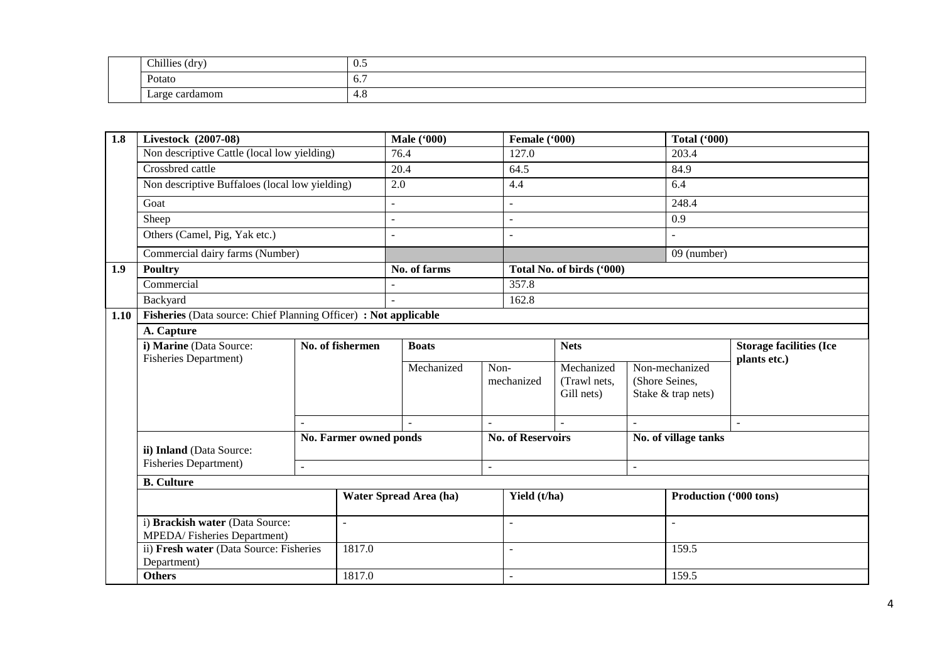| Chillies<br>$-1$<br>Ar:<br>uu, | <br>$U_{\cdot}$ |
|--------------------------------|-----------------|
| Potato<br>.                    | $\sigma$ .      |
| Large<br>tamom<br>card         | . .<br>4.0      |

| 1.8  | Livestock (2007-08)                                                  |                                 |                               | <b>Male</b> ('000)       |                | Female ('000)            |                           |                        | <b>Total ('000)</b>            |              |
|------|----------------------------------------------------------------------|---------------------------------|-------------------------------|--------------------------|----------------|--------------------------|---------------------------|------------------------|--------------------------------|--------------|
|      | Non descriptive Cattle (local low yielding)                          |                                 |                               | 76.4                     |                | 127.0                    |                           |                        | 203.4                          |              |
|      | Crossbred cattle                                                     |                                 |                               | 20.4                     |                | 64.5                     |                           |                        | 84.9                           |              |
|      | Non descriptive Buffaloes (local low yielding)                       |                                 |                               | 2.0                      |                | 4.4                      |                           |                        | 6.4                            |              |
|      | Goat                                                                 |                                 |                               |                          |                |                          |                           |                        | 248.4                          |              |
|      | Sheep                                                                |                                 |                               | $\overline{\phantom{a}}$ |                | $\blacksquare$           |                           |                        | 0.9                            |              |
|      | Others (Camel, Pig, Yak etc.)                                        |                                 |                               |                          |                |                          |                           |                        |                                |              |
|      |                                                                      | Commercial dairy farms (Number) |                               |                          |                |                          |                           |                        | 09 (number)                    |              |
| 1.9  | Poultry                                                              |                                 |                               | No. of farms             |                |                          | Total No. of birds ('000) |                        |                                |              |
|      | Commercial                                                           |                                 |                               |                          |                | 357.8                    |                           |                        |                                |              |
|      | Backyard                                                             |                                 |                               |                          |                | 162.8                    |                           |                        |                                |              |
| 1.10 | Fisheries (Data source: Chief Planning Officer) : Not applicable     |                                 |                               |                          |                |                          |                           |                        |                                |              |
|      | A. Capture                                                           |                                 |                               |                          |                |                          |                           |                        |                                |              |
|      | i) Marine (Data Source:                                              | No. of fishermen                |                               | <b>Boats</b>             |                | <b>Nets</b>              |                           |                        | <b>Storage facilities (Ice</b> |              |
|      | <b>Fisheries Department)</b>                                         |                                 |                               | Mechanized               | Non-           |                          | Mechanized                |                        | Non-mechanized                 | plants etc.) |
|      |                                                                      |                                 |                               |                          |                | mechanized               | (Trawl nets,              | (Shore Seines,         |                                |              |
|      |                                                                      |                                 |                               |                          |                |                          | Gill nets)                | Stake & trap nets)     |                                |              |
|      |                                                                      |                                 |                               |                          |                |                          |                           |                        |                                |              |
|      |                                                                      |                                 |                               |                          | $\blacksquare$ |                          | $\overline{a}$            |                        |                                | $\sim$       |
|      | ii) Inland (Data Source:                                             |                                 | No. Farmer owned ponds        |                          |                | <b>No. of Reservoirs</b> |                           |                        | No. of village tanks           |              |
|      | <b>Fisheries Department)</b>                                         | $\mathbb{Z}^2$                  |                               |                          | $\equiv$       |                          |                           | $\omega$               |                                |              |
|      | <b>B.</b> Culture                                                    |                                 |                               |                          |                |                          |                           |                        |                                |              |
|      | i) Brackish water (Data Source:<br>÷.<br>MPEDA/Fisheries Department) |                                 | <b>Water Spread Area (ha)</b> |                          | Yield (t/ha)   |                          |                           | Production ('000 tons) |                                |              |
|      |                                                                      |                                 |                               |                          | $\sim$         |                          |                           | $\omega$               |                                |              |
|      | ii) Fresh water (Data Source: Fisheries<br>Department)               |                                 | 1817.0                        |                          |                | $\sim$                   |                           |                        | 159.5                          |              |
|      | <b>Others</b>                                                        |                                 | 1817.0                        |                          |                | $\mathbf{r}$             |                           | 159.5                  |                                |              |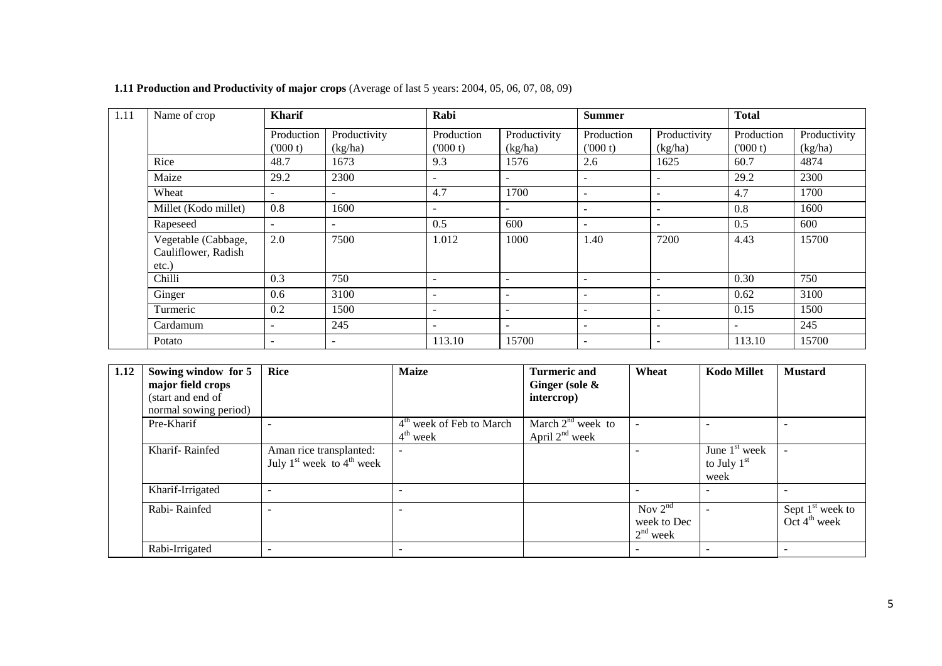| 1.11 | Name of crop                                        | <b>Kharif</b>            |                         | Rabi                     |                          | <b>Summer</b>            |                              | <b>Total</b><br>Production<br>(000 t)<br>60.7<br>29.2<br>4.7<br>0.8<br>0.5<br>4.43<br>0.30<br>0.62<br>0.15 |                         |
|------|-----------------------------------------------------|--------------------------|-------------------------|--------------------------|--------------------------|--------------------------|------------------------------|------------------------------------------------------------------------------------------------------------|-------------------------|
|      |                                                     | Production<br>(000 t)    | Productivity<br>(kg/ha) | Production<br>(000 t)    | Productivity<br>(kg/ha)  | Production<br>(000 t)    | Productivity<br>(kg/ha)      |                                                                                                            | Productivity<br>(kg/ha) |
|      | Rice                                                | 48.7                     | 1673                    | 9.3                      | 1576                     | 2.6                      | 1625                         |                                                                                                            | 4874                    |
|      | Maize                                               | 29.2                     | 2300                    | $\blacksquare$           |                          |                          | $\qquad \qquad \blacksquare$ |                                                                                                            | 2300                    |
|      | Wheat                                               |                          |                         | 4.7                      | 1700                     | $\sim$                   | $\overline{\phantom{a}}$     |                                                                                                            | 1700                    |
|      | Millet (Kodo millet)                                | 0.8                      | 1600                    | $\blacksquare$           |                          | $\overline{\phantom{a}}$ | $\overline{\phantom{a}}$     |                                                                                                            | 1600                    |
|      | Rapeseed                                            | $\overline{\phantom{m}}$ |                         | 0.5                      | 600                      | $\overline{\phantom{a}}$ | $\overline{\phantom{a}}$     |                                                                                                            | 600                     |
|      | Vegetable (Cabbage,<br>Cauliflower, Radish<br>etc.) | 2.0                      | 7500                    | 1.012                    | 1000                     | 1.40                     | 7200                         |                                                                                                            | 15700                   |
|      | Chilli                                              | 0.3                      | 750                     |                          |                          |                          |                              |                                                                                                            | 750                     |
|      | Ginger                                              | 0.6                      | 3100                    | $\overline{\phantom{a}}$ | $\overline{\phantom{a}}$ | $\overline{\phantom{0}}$ | $\overline{\phantom{a}}$     |                                                                                                            | 3100                    |
|      | Turmeric                                            | 0.2                      | 1500                    | $\overline{\phantom{a}}$ | $\overline{\phantom{a}}$ | $\overline{\phantom{a}}$ | $\overline{\phantom{a}}$     |                                                                                                            | 1500                    |
|      | Cardamum                                            |                          | 245                     |                          |                          | $\overline{\phantom{a}}$ | $\overline{\phantom{0}}$     | $\overline{\phantom{a}}$                                                                                   | 245                     |
|      | Potato                                              |                          | -                       | 113.10                   | 15700                    | $\overline{\phantom{a}}$ | $\overline{\phantom{a}}$     | 113.10                                                                                                     | 15700                   |

**1.11 Production and Productivity of major crops** (Average of last 5 years: 2004, 05, 06, 07, 08, 09)

| 1.12 | Sowing window for 5<br>major field crops<br>(start and end of<br>normal sowing period) | <b>Rice</b>                                              | <b>Maize</b>                                                 | <b>Turmeric and</b><br>Ginger (sole $\&$<br>intercrop) | Wheat                                     | <b>Kodo Millet</b>                                 | <b>Mustard</b>                                 |
|------|----------------------------------------------------------------------------------------|----------------------------------------------------------|--------------------------------------------------------------|--------------------------------------------------------|-------------------------------------------|----------------------------------------------------|------------------------------------------------|
|      | Pre-Kharif                                                                             |                                                          | 4 <sup>th</sup> week of Feb to March<br>$4^{\text{th}}$ week | March $2nd$ week to<br>April $2nd$ week                |                                           |                                                    |                                                |
|      | Kharif-Rainfed                                                                         | Aman rice transplanted:<br>July $1st$ week to $4th$ week |                                                              |                                                        |                                           | June 1 <sup>st</sup> week<br>to July $1st$<br>week |                                                |
|      | Kharif-Irrigated                                                                       |                                                          |                                                              |                                                        |                                           |                                                    |                                                |
|      | Rabi-Rainfed                                                                           |                                                          |                                                              |                                                        | Nov $2^{nd}$<br>week to Dec<br>$2nd$ week |                                                    | Sept $1st$ week to<br>Oct $4^{\text{th}}$ week |
|      | Rabi-Irrigated                                                                         |                                                          |                                                              |                                                        |                                           |                                                    |                                                |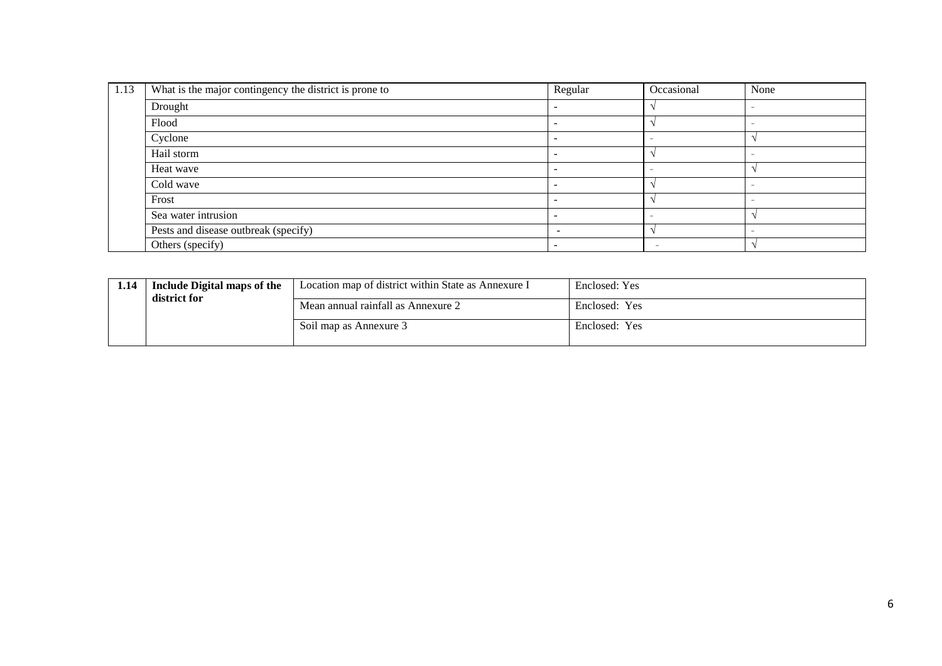| 1.13 | What is the major contingency the district is prone to | Regular                  | Occasional | None   |
|------|--------------------------------------------------------|--------------------------|------------|--------|
|      | Drought                                                |                          |            |        |
|      | Flood                                                  |                          |            |        |
|      | Cyclone                                                |                          |            |        |
|      | Hail storm                                             |                          |            | $\sim$ |
|      | Heat wave                                              |                          |            |        |
|      | Cold wave                                              |                          |            |        |
|      | Frost                                                  |                          |            | $\sim$ |
|      | Sea water intrusion                                    |                          |            |        |
|      | Pests and disease outbreak (specify)                   | $\overline{\phantom{a}}$ |            |        |
|      | Others (specify)                                       |                          |            |        |

| 1.14 | Include Digital maps of the<br>district for | Location map of district within State as Annexure I | Enclosed: Yes |
|------|---------------------------------------------|-----------------------------------------------------|---------------|
|      | Mean annual rainfall as Annexure 2          | Enclosed: Yes                                       |               |
|      |                                             | Soil map as Annexure 3                              | Enclosed: Yes |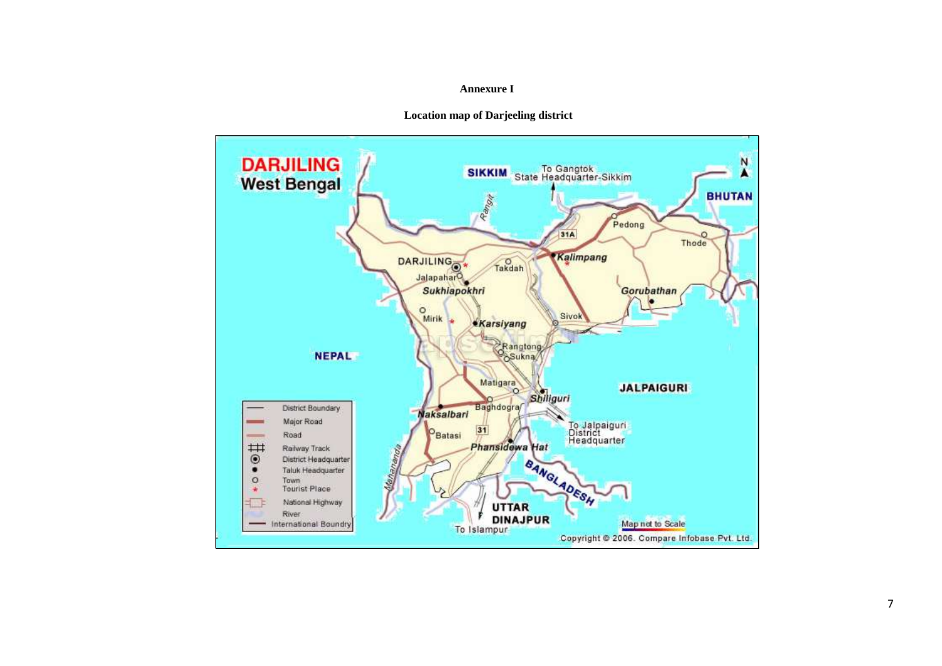#### **Annexure I**



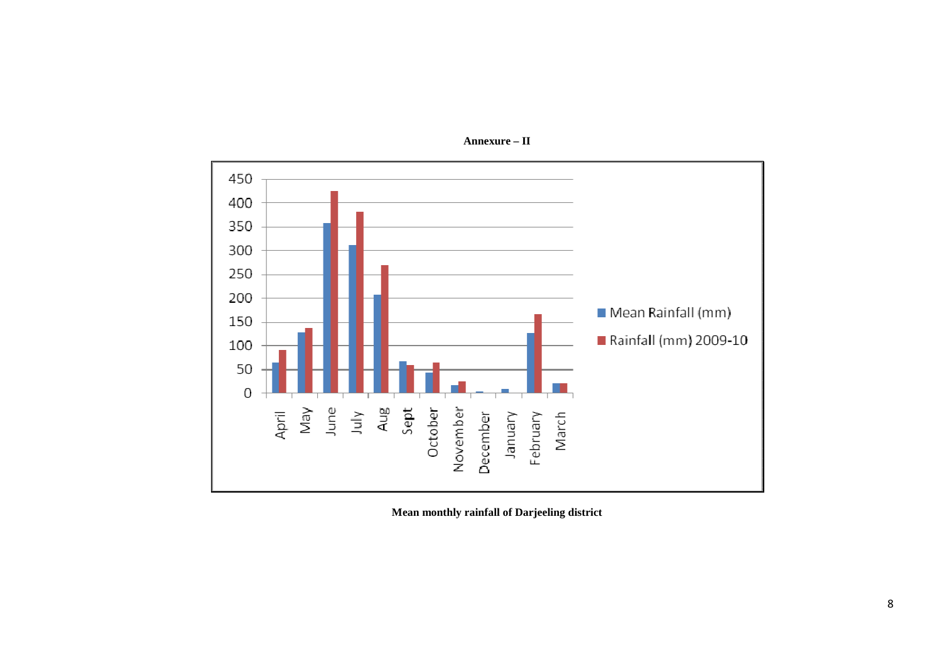

**Annexure – II** 

**Mean monthly rainfall of Darjeeling district**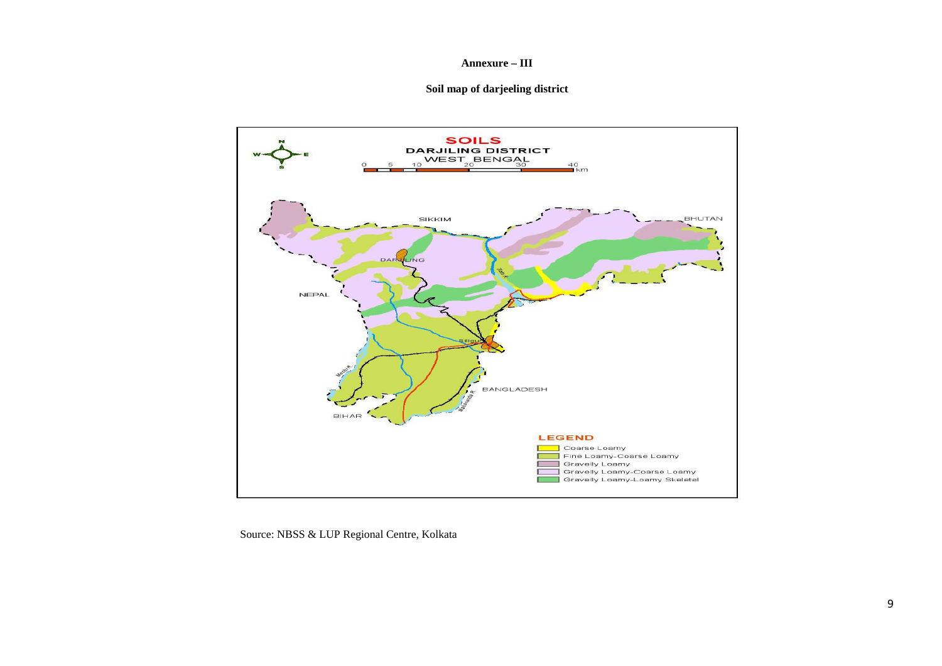#### **Annexure – III**

#### **Soil map of darjeeling district**



Source: NBSS & LUP Regional Centre, Kolkata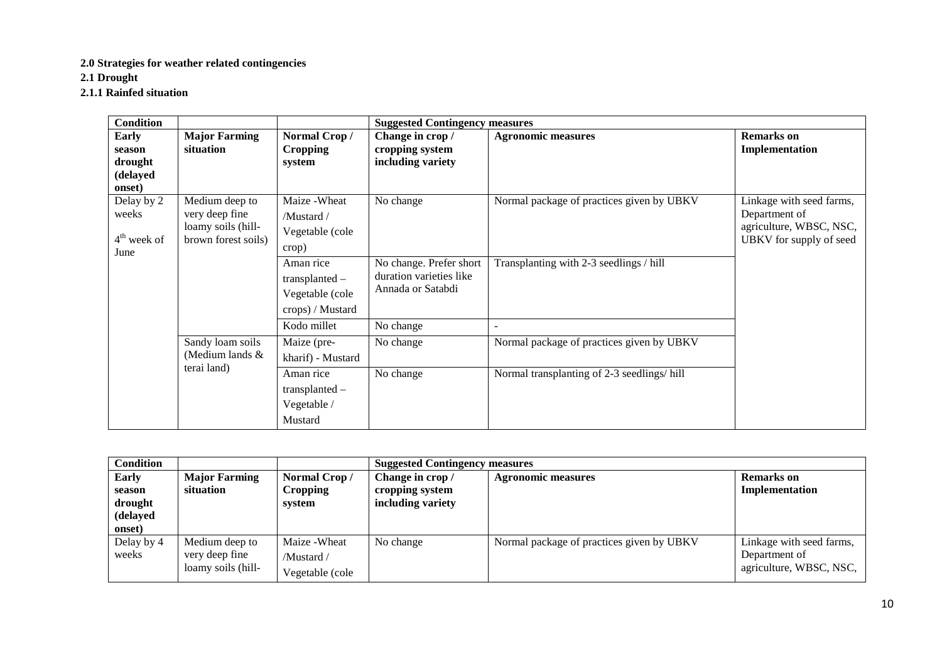#### **2.0 Strategies for weather related contingencies**

**2.1 Drought** 

**2.1.1 Rainfed situation** 

| Condition                                               |                                                                               |                                                                                     | <b>Suggested Contingency measures</b>                                                |                                                                     |                                                                                                 |  |
|---------------------------------------------------------|-------------------------------------------------------------------------------|-------------------------------------------------------------------------------------|--------------------------------------------------------------------------------------|---------------------------------------------------------------------|-------------------------------------------------------------------------------------------------|--|
| <b>Early</b><br>season<br>drought<br>(delayed<br>onset) | <b>Major Farming</b><br>situation                                             | Normal Crop/<br><b>Cropping</b><br>system                                           | Change in crop /<br>cropping system<br>including variety                             | <b>Agronomic measures</b>                                           | <b>Remarks</b> on<br>Implementation                                                             |  |
| Delay by 2<br>weeks<br>$4th$ week of<br>June            | Medium deep to<br>very deep fine<br>loamy soils (hill-<br>brown forest soils) | Maize - Wheat<br>/Mustard/<br>Vegetable (cole<br>crop)                              | No change                                                                            | Normal package of practices given by UBKV                           | Linkage with seed farms,<br>Department of<br>agriculture, WBSC, NSC,<br>UBKV for supply of seed |  |
|                                                         |                                                                               | Aman rice<br>$transplanted -$<br>Vegetable (cole<br>crops) / Mustard<br>Kodo millet | No change. Prefer short<br>duration varieties like<br>Annada or Satabdi<br>No change | Transplanting with 2-3 seedlings / hill<br>$\overline{\phantom{a}}$ |                                                                                                 |  |
|                                                         | Sandy loam soils<br>(Medium lands &<br>terai land)                            | Maize (pre-<br>kharif) - Mustard                                                    | No change                                                                            | Normal package of practices given by UBKV                           |                                                                                                 |  |
|                                                         |                                                                               | Aman rice<br>transplanted -<br>Vegetable /<br>Mustard                               | No change                                                                            | Normal transplanting of 2-3 seedlings/hill                          |                                                                                                 |  |

| <b>Condition</b> |                      |                 | <b>Suggested Contingency measures</b> |                                           |                          |
|------------------|----------------------|-----------------|---------------------------------------|-------------------------------------------|--------------------------|
| Early            | <b>Major Farming</b> | Normal Crop/    | Change in crop /                      | <b>Agronomic measures</b>                 | <b>Remarks</b> on        |
| season           | situation            | <b>Cropping</b> | cropping system                       |                                           | Implementation           |
| drought          |                      | system          | including variety                     |                                           |                          |
| (delayed         |                      |                 |                                       |                                           |                          |
| onset)           |                      |                 |                                       |                                           |                          |
| Delay by 4       | Medium deep to       | Maize - Wheat   | No change                             | Normal package of practices given by UBKV | Linkage with seed farms, |
| weeks            | very deep fine       | /Mustard/       |                                       |                                           | Department of            |
|                  | loamy soils (hill-   | Vegetable (cole |                                       |                                           | agriculture, WBSC, NSC,  |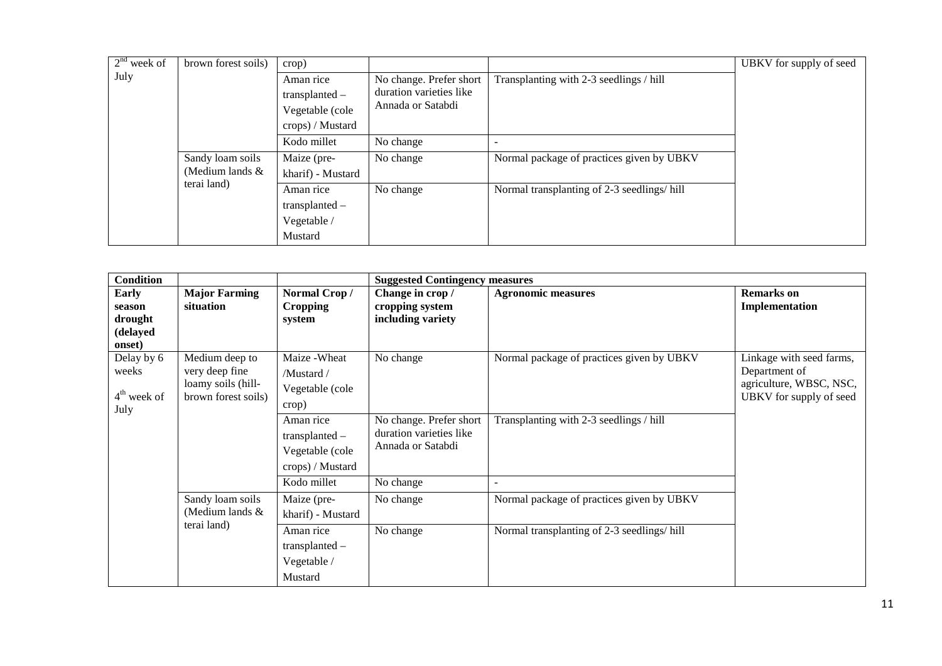| $2nd$ week of | brown forest soils)                                  | crop)                                                                |                                                                         |                                            | UBKV for supply of seed |
|---------------|------------------------------------------------------|----------------------------------------------------------------------|-------------------------------------------------------------------------|--------------------------------------------|-------------------------|
| July          |                                                      | Aman rice<br>$transplanted -$<br>Vegetable (cole<br>crops) / Mustard | No change. Prefer short<br>duration varieties like<br>Annada or Satabdi | Transplanting with 2-3 seedlings / hill    |                         |
|               |                                                      | Kodo millet                                                          | No change                                                               |                                            |                         |
|               | Sandy loam soils<br>(Medium lands $&$<br>terai land) | Maize (pre-                                                          | No change                                                               | Normal package of practices given by UBKV  |                         |
|               |                                                      | kharif) - Mustard                                                    |                                                                         |                                            |                         |
|               |                                                      | Aman rice                                                            | No change                                                               | Normal transplanting of 2-3 seedlings/hill |                         |
|               |                                                      | transplanted -                                                       |                                                                         |                                            |                         |
|               |                                                      | Vegetable /                                                          |                                                                         |                                            |                         |
|               |                                                      | Mustard                                                              |                                                                         |                                            |                         |

| <b>Condition</b> |                      |                   | <b>Suggested Contingency measures</b>        |                                            |                                                    |
|------------------|----------------------|-------------------|----------------------------------------------|--------------------------------------------|----------------------------------------------------|
| <b>Early</b>     | <b>Major Farming</b> | Normal Crop/      | Change in crop /                             | <b>Agronomic measures</b>                  | <b>Remarks</b> on                                  |
| season           | situation            | <b>Cropping</b>   | cropping system                              |                                            | Implementation                                     |
| drought          |                      | system            | including variety                            |                                            |                                                    |
| (delayed         |                      |                   |                                              |                                            |                                                    |
| onset)           |                      |                   |                                              |                                            |                                                    |
| Delay by 6       | Medium deep to       | Maize - Wheat     | No change                                    | Normal package of practices given by UBKV  | Linkage with seed farms,                           |
| weeks            | very deep fine       | /Mustard/         |                                              |                                            | Department of                                      |
| $4th$ week of    | loamy soils (hill-   | Vegetable (cole   |                                              |                                            | agriculture, WBSC, NSC,<br>UBKV for supply of seed |
| July             | brown forest soils)  | crop)             |                                              |                                            |                                                    |
|                  |                      | Aman rice         | No change. Prefer short                      | Transplanting with 2-3 seedlings / hill    |                                                    |
|                  |                      | $transplanted -$  | duration varieties like<br>Annada or Satabdi |                                            |                                                    |
|                  |                      | Vegetable (cole   |                                              |                                            |                                                    |
|                  |                      | crops) / Mustard  |                                              |                                            |                                                    |
|                  |                      | Kodo millet       | No change                                    |                                            |                                                    |
|                  | Sandy loam soils     | Maize (pre-       | No change                                    | Normal package of practices given by UBKV  |                                                    |
|                  | (Medium lands $\&$   | kharif) - Mustard |                                              |                                            |                                                    |
|                  | terai land)          | Aman rice         | No change                                    | Normal transplanting of 2-3 seedlings/hill |                                                    |
|                  |                      | transplanted -    |                                              |                                            |                                                    |
|                  |                      | Vegetable /       |                                              |                                            |                                                    |
|                  |                      | Mustard           |                                              |                                            |                                                    |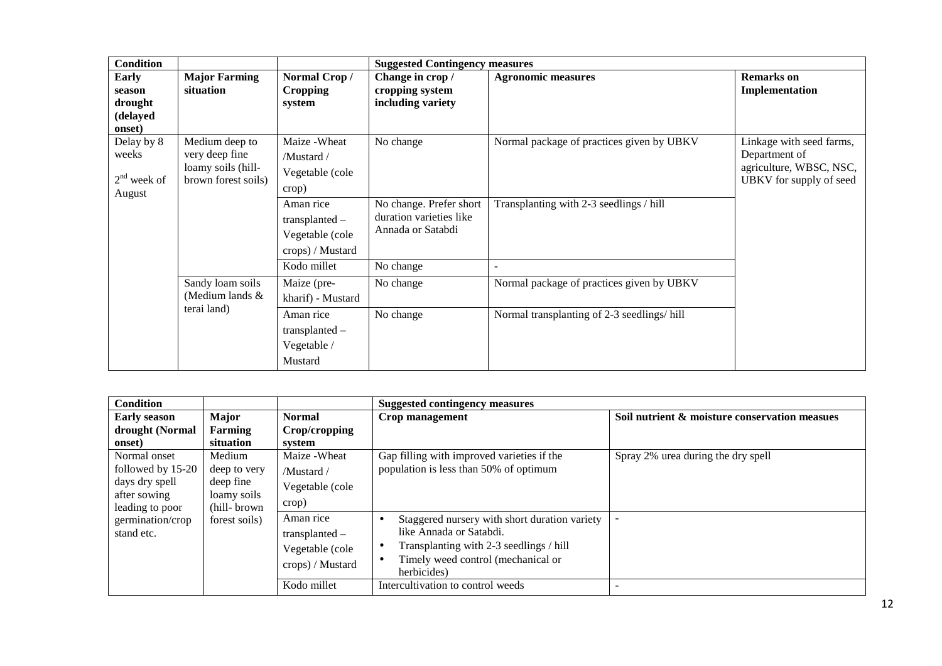| <b>Condition</b>                                        |                                                                               |                                                                      | <b>Suggested Contingency measures</b>                                   |                                            |                                                                                                 |
|---------------------------------------------------------|-------------------------------------------------------------------------------|----------------------------------------------------------------------|-------------------------------------------------------------------------|--------------------------------------------|-------------------------------------------------------------------------------------------------|
| <b>Early</b><br>season<br>drought<br>(delayed<br>onset) | <b>Major Farming</b><br>situation                                             | Normal Crop/<br><b>Cropping</b><br>system                            | Change in crop /<br>cropping system<br>including variety                | <b>Agronomic measures</b>                  | <b>Remarks</b> on<br>Implementation                                                             |
| Delay by 8<br>weeks<br>$2nd$ week of<br>August          | Medium deep to<br>very deep fine<br>loamy soils (hill-<br>brown forest soils) | Maize - Wheat<br>/Mustard/<br>Vegetable (cole<br>crop)               | No change                                                               | Normal package of practices given by UBKV  | Linkage with seed farms,<br>Department of<br>agriculture, WBSC, NSC,<br>UBKV for supply of seed |
|                                                         |                                                                               | Aman rice<br>$transplanted -$<br>Vegetable (cole<br>crops) / Mustard | No change. Prefer short<br>duration varieties like<br>Annada or Satabdi | Transplanting with 2-3 seedlings / hill    |                                                                                                 |
|                                                         | Sandy loam soils<br>(Medium lands $\&$<br>terai land)                         | Kodo millet<br>Maize (pre-<br>kharif) - Mustard                      | No change<br>No change                                                  | Normal package of practices given by UBKV  |                                                                                                 |
|                                                         |                                                                               | Aman rice<br>$transplanted -$<br>Vegetable /<br>Mustard              | No change                                                               | Normal transplanting of 2-3 seedlings/hill |                                                                                                 |

| <b>Condition</b>                                                    |                                                                    |                                                                      | <b>Suggested contingency measures</b>                                                                                                                                    |                                               |  |  |
|---------------------------------------------------------------------|--------------------------------------------------------------------|----------------------------------------------------------------------|--------------------------------------------------------------------------------------------------------------------------------------------------------------------------|-----------------------------------------------|--|--|
| <b>Early season</b>                                                 | <b>Major</b>                                                       | <b>Normal</b>                                                        | Crop management                                                                                                                                                          | Soil nutrient & moisture conservation measues |  |  |
| drought (Normal                                                     | Farming                                                            | Crop/cropping                                                        |                                                                                                                                                                          |                                               |  |  |
| onset)                                                              | situation                                                          | system                                                               |                                                                                                                                                                          |                                               |  |  |
| Normal onset<br>followed by 15-20<br>days dry spell<br>after sowing | Medium<br>deep to very<br>deep fine<br>loamy soils<br>(hill-brown) | Maize - Wheat<br>/Mustard/<br>Vegetable (cole<br>crop)               | Gap filling with improved varieties if the<br>population is less than 50% of optimum                                                                                     | Spray 2% urea during the dry spell            |  |  |
| leading to poor<br>germination/crop<br>stand etc.                   | forest soils)                                                      | Aman rice<br>$transplanted -$<br>Vegetable (cole<br>crops) / Mustard | Staggered nursery with short duration variety<br>like Annada or Satabdi.<br>Transplanting with 2-3 seedlings / hill<br>Timely weed control (mechanical or<br>herbicides) |                                               |  |  |
|                                                                     |                                                                    | Kodo millet                                                          | Intercultivation to control weeds                                                                                                                                        |                                               |  |  |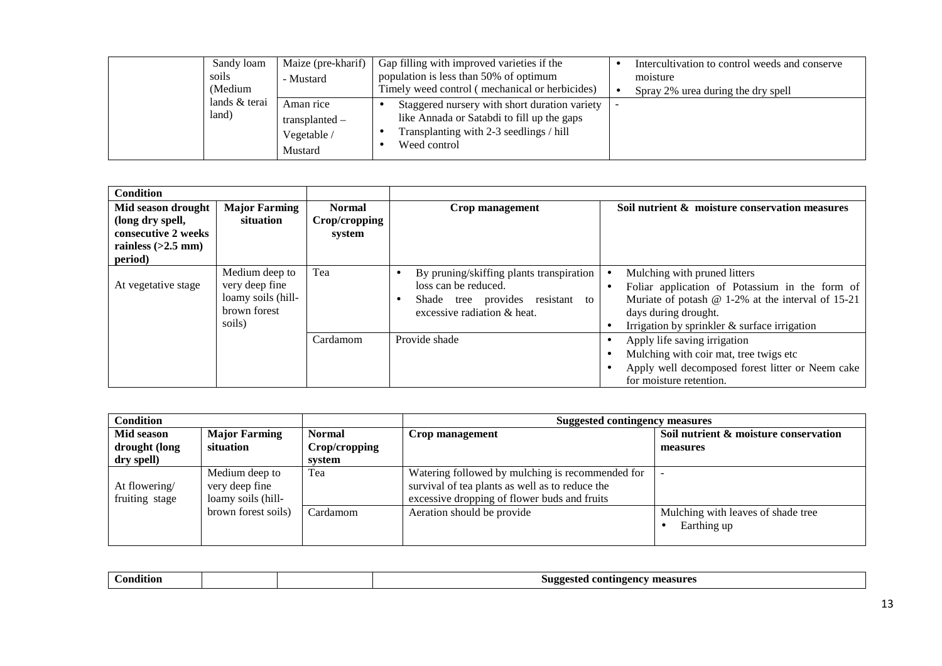| soils<br>(Medium | Maize (pre-kharif)<br>Sandy loam<br>- Mustard                            | Gap filling with improved varieties if the<br>population is less than 50% of optimum<br>Timely weed control (mechanical or herbicides)                 | Intercultivation to control weeds and conserve<br>moisture<br>Spray 2% urea during the dry spell |
|------------------|--------------------------------------------------------------------------|--------------------------------------------------------------------------------------------------------------------------------------------------------|--------------------------------------------------------------------------------------------------|
| land)            | lands & terai<br>Aman rice<br>$transplanted -$<br>Vegetable /<br>Mustard | Staggered nursery with short duration variety<br>like Annada or Satabdi to fill up the gaps<br>Transplanting with 2-3 seedlings / hill<br>Weed control |                                                                                                  |

| <b>Condition</b>                                                                                 |                                                                                  |                                          |                                                                                                                                                  |                                                                                                                                                                                                                   |
|--------------------------------------------------------------------------------------------------|----------------------------------------------------------------------------------|------------------------------------------|--------------------------------------------------------------------------------------------------------------------------------------------------|-------------------------------------------------------------------------------------------------------------------------------------------------------------------------------------------------------------------|
| Mid season drought<br>(long dry spell,<br>consecutive 2 weeks<br>rainless $(>2.5$ mm)<br>period) | <b>Major Farming</b><br>situation                                                | <b>Normal</b><br>Crop/cropping<br>system | Crop management                                                                                                                                  | Soil nutrient & moisture conservation measures                                                                                                                                                                    |
| At vegetative stage                                                                              | Medium deep to<br>very deep fine<br>loamy soils (hill-<br>brown forest<br>soils) | Tea                                      | By pruning/skiffing plants transpiration<br>٠<br>loss can be reduced.<br>Shade tree provides resistant<br>to<br>٠<br>excessive radiation & heat. | Mulching with pruned litters<br>Foliar application of Potassium in the form of<br>Muriate of potash $@ 1-2\%$ at the interval of 15-21<br>days during drought.<br>Irrigation by sprinkler $\&$ surface irrigation |
|                                                                                                  |                                                                                  | Cardamom                                 | Provide shade                                                                                                                                    | Apply life saving irrigation<br>Mulching with coir mat, tree twigs etc<br>Apply well decomposed forest litter or Neem cake<br>for moisture retention.                                                             |

| <b>Condition</b> |                      |               | <b>Suggested contingency measures</b>            |                                       |  |
|------------------|----------------------|---------------|--------------------------------------------------|---------------------------------------|--|
| Mid season       | <b>Major Farming</b> | <b>Normal</b> | Crop management                                  | Soil nutrient & moisture conservation |  |
| drought (long    | situation            | Crop/cropping |                                                  | measures                              |  |
| dry spell)       |                      | system        |                                                  |                                       |  |
|                  | Medium deep to       | Tea           | Watering followed by mulching is recommended for |                                       |  |
| At flowering/    | very deep fine       |               | survival of tea plants as well as to reduce the  |                                       |  |
| fruiting stage   | loamy soils (hill-   |               | excessive dropping of flower buds and fruits     |                                       |  |
|                  | brown forest soils)  | Cardamom      | Aeration should be provide                       | Mulching with leaves of shade tree    |  |
|                  |                      |               |                                                  | Earthing up                           |  |
|                  |                      |               |                                                  |                                       |  |

|  | $-1$<br>`onditioi. |  |  | measures<br>.51199este<br>rontingency<br>-- |
|--|--------------------|--|--|---------------------------------------------|
|--|--------------------|--|--|---------------------------------------------|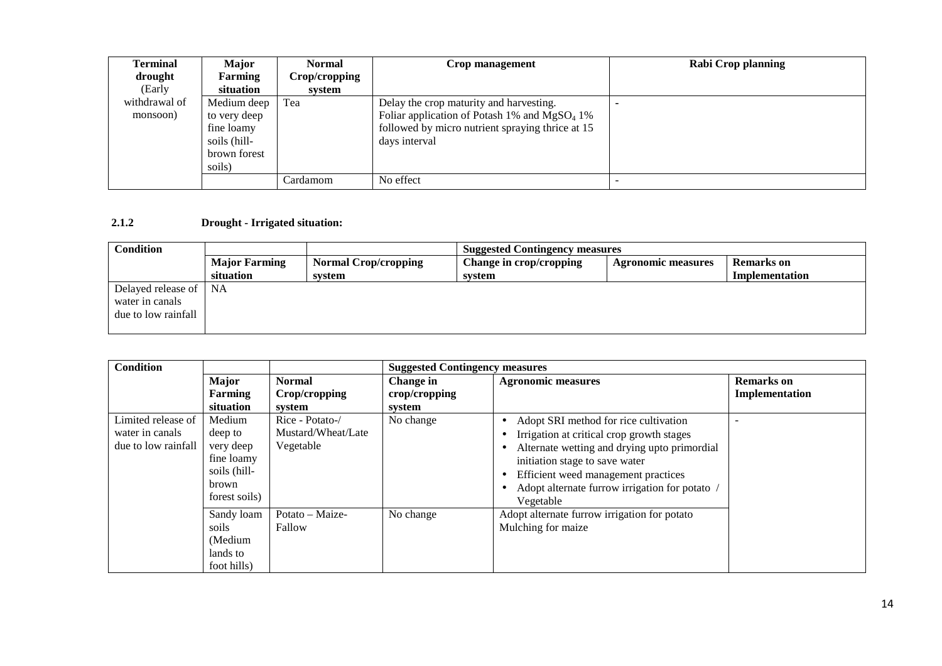| Terminal      | <b>Major</b> | <b>Normal</b> | Crop management                                  | Rabi Crop planning |
|---------------|--------------|---------------|--------------------------------------------------|--------------------|
| drought       | Farming      | Crop/cropping |                                                  |                    |
| (Early        | situation    | system        |                                                  |                    |
| withdrawal of | Medium deep  | Tea           | Delay the crop maturity and harvesting.          |                    |
| monsoon)      | to very deep |               | Foliar application of Potash 1% and $MgSO_4$ 1%  |                    |
|               | fine loamy   |               | followed by micro nutrient spraying thrice at 15 |                    |
|               | soils (hill- |               | days interval                                    |                    |
|               | brown forest |               |                                                  |                    |
|               | soils)       |               |                                                  |                    |
|               |              | Cardamom      | No effect                                        |                    |

#### **2.1.2 Drought - Irrigated situation:**

| <b>Condition</b>        | <b>Suggested Contingency measures</b> |                             |                         |                           |                |
|-------------------------|---------------------------------------|-----------------------------|-------------------------|---------------------------|----------------|
|                         | <b>Major Farming</b>                  | <b>Normal Crop/cropping</b> | Change in crop/cropping | <b>Agronomic measures</b> | Remarks on     |
|                         | situation                             | system                      | svstem                  |                           | Implementation |
| Delayed release of   NA |                                       |                             |                         |                           |                |
| water in canals         |                                       |                             |                         |                           |                |
| due to low rainfall     |                                       |                             |                         |                           |                |
|                         |                                       |                             |                         |                           |                |

| Condition           |               |                    | <b>Suggested Contingency measures</b> |                                              |                   |  |
|---------------------|---------------|--------------------|---------------------------------------|----------------------------------------------|-------------------|--|
|                     | <b>Major</b>  | <b>Normal</b>      | Change in                             | <b>Agronomic measures</b>                    | <b>Remarks</b> on |  |
|                     | Farming       | Crop/cropping      | crop/cropping                         |                                              | Implementation    |  |
|                     | situation     | system             | system                                |                                              |                   |  |
| Limited release of  | Medium        | Rice - Potato-/    | No change                             | Adopt SRI method for rice cultivation        |                   |  |
| water in canals     | deep to       | Mustard/Wheat/Late |                                       | Irrigation at critical crop growth stages    |                   |  |
| due to low rainfall | very deep     | Vegetable          |                                       | Alternate wetting and drying upto primordial |                   |  |
|                     | fine loamy    |                    |                                       | initiation stage to save water               |                   |  |
|                     | soils (hill-  |                    |                                       | Efficient weed management practices          |                   |  |
|                     | brown         |                    |                                       | Adopt alternate furrow irrigation for potato |                   |  |
|                     | forest soils) |                    |                                       | Vegetable                                    |                   |  |
|                     | Sandy loam    | Potato - Maize-    | No change                             | Adopt alternate furrow irrigation for potato |                   |  |
|                     | soils         | Fallow             |                                       | Mulching for maize                           |                   |  |
|                     | (Medium       |                    |                                       |                                              |                   |  |
|                     | lands to      |                    |                                       |                                              |                   |  |
|                     | foot hills)   |                    |                                       |                                              |                   |  |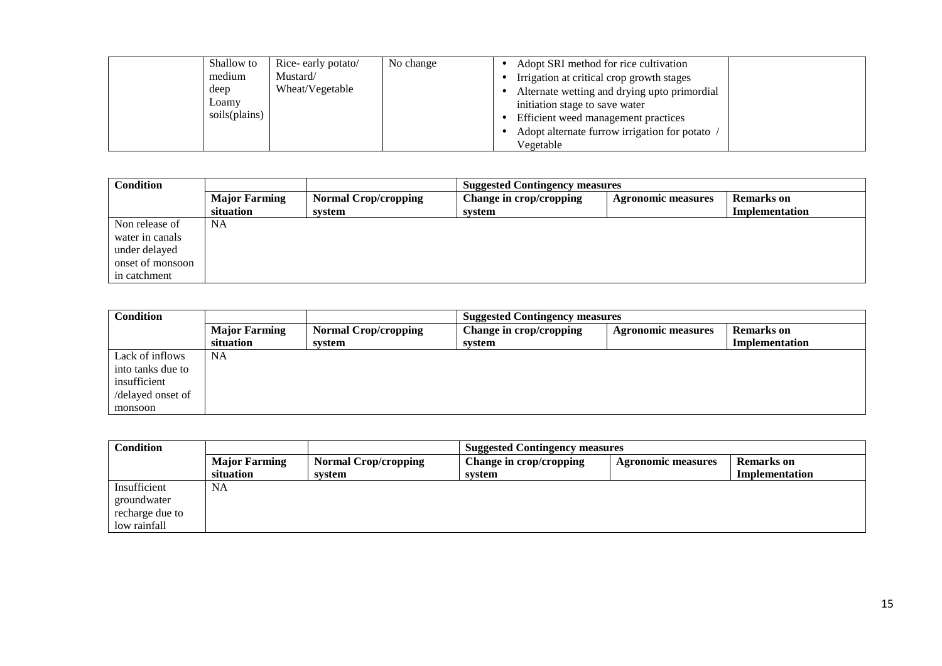| Shallow to<br>medium<br>deep<br>Loamy<br>soils(plains) | Rice-early potato/<br>Mustard/<br>Wheat/Vegetable | No change | Adopt SRI method for rice cultivation<br>Irrigation at critical crop growth stages<br>Alternate wetting and drying upto primordial<br>initiation stage to save water<br>Efficient weed management practices |
|--------------------------------------------------------|---------------------------------------------------|-----------|-------------------------------------------------------------------------------------------------------------------------------------------------------------------------------------------------------------|
|                                                        |                                                   |           | Adopt alternate furrow irrigation for potato /<br>Vegetable                                                                                                                                                 |

| <b>Condition</b> | <b>Suggested Contingency measures</b>                                                                                            |        |        |  |                |  |
|------------------|----------------------------------------------------------------------------------------------------------------------------------|--------|--------|--|----------------|--|
|                  | <b>Major Farming</b><br><b>Normal Crop/cropping</b><br>Change in crop/cropping<br><b>Remarks on</b><br><b>Agronomic measures</b> |        |        |  |                |  |
|                  | situation                                                                                                                        | system | system |  | Implementation |  |
| Non release of   | NA                                                                                                                               |        |        |  |                |  |
| water in canals  |                                                                                                                                  |        |        |  |                |  |
| under delayed    |                                                                                                                                  |        |        |  |                |  |
| onset of monsoon |                                                                                                                                  |        |        |  |                |  |
| in catchment     |                                                                                                                                  |        |        |  |                |  |

| <b>Condition</b>  | <b>Suggested Contingency measures</b> |                             |                         |                           |                   |
|-------------------|---------------------------------------|-----------------------------|-------------------------|---------------------------|-------------------|
|                   | <b>Major Farming</b>                  | <b>Normal Crop/cropping</b> | Change in crop/cropping | <b>Agronomic measures</b> | <b>Remarks</b> on |
|                   | situation                             | system                      | system                  |                           | Implementation    |
| Lack of inflows   | <b>NA</b>                             |                             |                         |                           |                   |
| into tanks due to |                                       |                             |                         |                           |                   |
| insufficient      |                                       |                             |                         |                           |                   |
| /delayed onset of |                                       |                             |                         |                           |                   |
| monsoon           |                                       |                             |                         |                           |                   |

| <b>Condition</b> | <b>Suggested Contingency measures</b> |                                       |                                   |                           |                                     |
|------------------|---------------------------------------|---------------------------------------|-----------------------------------|---------------------------|-------------------------------------|
|                  | <b>Major Farming</b><br>situation     | <b>Normal Crop/cropping</b><br>system | Change in crop/cropping<br>svstem | <b>Agronomic measures</b> | <b>Remarks</b> on<br>Implementation |
| Insufficient     | <b>NA</b>                             |                                       |                                   |                           |                                     |
| groundwater      |                                       |                                       |                                   |                           |                                     |
| recharge due to  |                                       |                                       |                                   |                           |                                     |
| low rainfall     |                                       |                                       |                                   |                           |                                     |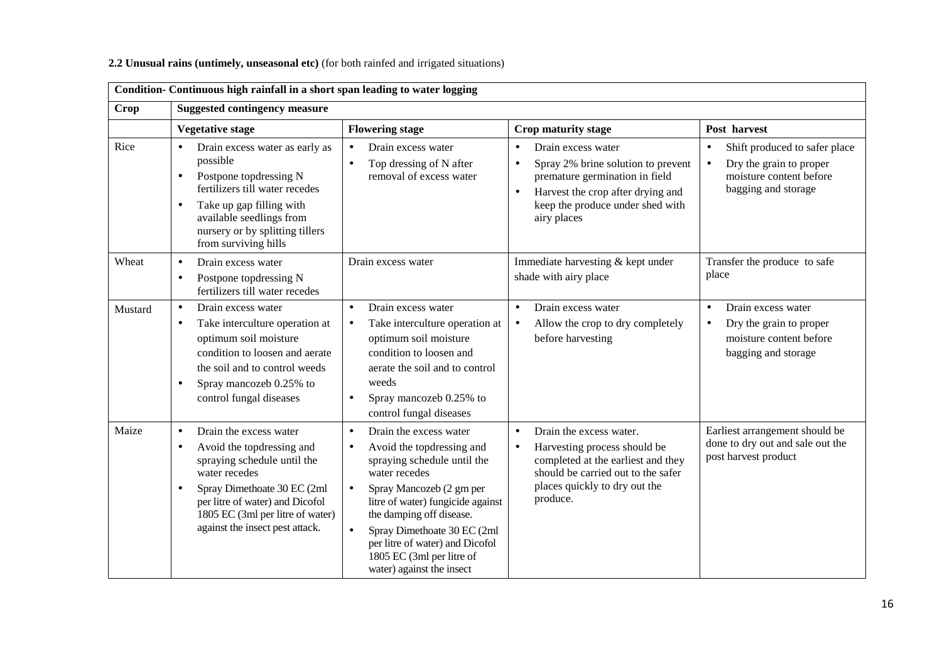| Condition- Continuous high rainfall in a short span leading to water logging |                                                                                                                                                                                                                                                                                     |                                                                                                                                                                                                                                                                                                                                                                                  |                                                                                                                                                                                                                           |                                                                                                                                      |  |  |
|------------------------------------------------------------------------------|-------------------------------------------------------------------------------------------------------------------------------------------------------------------------------------------------------------------------------------------------------------------------------------|----------------------------------------------------------------------------------------------------------------------------------------------------------------------------------------------------------------------------------------------------------------------------------------------------------------------------------------------------------------------------------|---------------------------------------------------------------------------------------------------------------------------------------------------------------------------------------------------------------------------|--------------------------------------------------------------------------------------------------------------------------------------|--|--|
| Crop                                                                         | <b>Suggested contingency measure</b>                                                                                                                                                                                                                                                |                                                                                                                                                                                                                                                                                                                                                                                  |                                                                                                                                                                                                                           |                                                                                                                                      |  |  |
|                                                                              | <b>Vegetative stage</b>                                                                                                                                                                                                                                                             | <b>Flowering stage</b>                                                                                                                                                                                                                                                                                                                                                           | Crop maturity stage                                                                                                                                                                                                       | Post harvest                                                                                                                         |  |  |
| Rice                                                                         | Drain excess water as early as<br>$\bullet$<br>possible<br>Postpone topdressing N<br>$\bullet$<br>fertilizers till water recedes<br>Take up gap filling with<br>$\bullet$<br>available seedlings from<br>nursery or by splitting tillers<br>from surviving hills                    | Drain excess water<br>Top dressing of N after<br>$\bullet$<br>removal of excess water                                                                                                                                                                                                                                                                                            | Drain excess water<br>$\bullet$<br>Spray 2% brine solution to prevent<br>$\bullet$<br>premature germination in field<br>Harvest the crop after drying and<br>$\bullet$<br>keep the produce under shed with<br>airy places | Shift produced to safer place<br>$\bullet$<br>Dry the grain to proper<br>$\bullet$<br>moisture content before<br>bagging and storage |  |  |
| Wheat                                                                        | Drain excess water<br>$\bullet$<br>Postpone topdressing N<br>$\bullet$<br>fertilizers till water recedes                                                                                                                                                                            | Drain excess water                                                                                                                                                                                                                                                                                                                                                               | Immediate harvesting & kept under<br>shade with airy place                                                                                                                                                                | Transfer the produce to safe<br>place                                                                                                |  |  |
| Mustard                                                                      | Drain excess water<br>$\bullet$<br>Take interculture operation at<br>$\bullet$<br>optimum soil moisture<br>condition to loosen and aerate<br>the soil and to control weeds<br>Spray mancozeb 0.25% to<br>$\bullet$<br>control fungal diseases                                       | Drain excess water<br>Take interculture operation at<br>$\bullet$<br>optimum soil moisture<br>condition to loosen and<br>aerate the soil and to control<br>weeds<br>Spray mancozeb 0.25% to<br>$\bullet$<br>control fungal diseases                                                                                                                                              | Drain excess water<br>$\bullet$<br>Allow the crop to dry completely<br>$\bullet$<br>before harvesting                                                                                                                     | Drain excess water<br>$\bullet$<br>Dry the grain to proper<br>$\bullet$<br>moisture content before<br>bagging and storage            |  |  |
| Maize                                                                        | Drain the excess water<br>$\bullet$<br>Avoid the topdressing and<br>$\bullet$<br>spraying schedule until the<br>water recedes<br>Spray Dimethoate 30 EC (2ml<br>$\bullet$<br>per litre of water) and Dicofol<br>1805 EC (3ml per litre of water)<br>against the insect pest attack. | Drain the excess water<br>$\bullet$<br>Avoid the topdressing and<br>$\bullet$<br>spraying schedule until the<br>water recedes<br>Spray Mancozeb (2 gm per<br>$\bullet$<br>litre of water) fungicide against<br>the damping off disease.<br>Spray Dimethoate 30 EC (2ml<br>$\bullet$<br>per litre of water) and Dicofol<br>1805 EC (3ml per litre of<br>water) against the insect | Drain the excess water.<br>$\bullet$<br>Harvesting process should be<br>$\bullet$<br>completed at the earliest and they<br>should be carried out to the safer<br>places quickly to dry out the<br>produce.                | Earliest arrangement should be<br>done to dry out and sale out the<br>post harvest product                                           |  |  |

### **2.2 Unusual rains (untimely, unseasonal etc)** (for both rainfed and irrigated situations)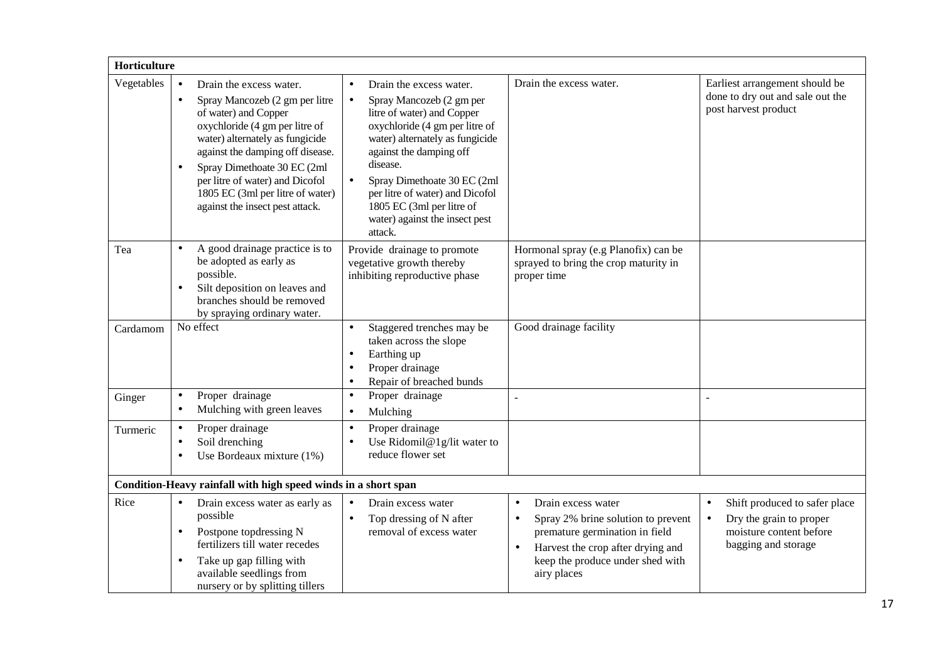| Horticulture |                                                                                                                                                                                                                                                                                                                                                                            |                                                                                                                                                                                                                                                                                                                                                                     |                                                                                                                                                                                                                           |                                                                                                                                      |  |  |  |
|--------------|----------------------------------------------------------------------------------------------------------------------------------------------------------------------------------------------------------------------------------------------------------------------------------------------------------------------------------------------------------------------------|---------------------------------------------------------------------------------------------------------------------------------------------------------------------------------------------------------------------------------------------------------------------------------------------------------------------------------------------------------------------|---------------------------------------------------------------------------------------------------------------------------------------------------------------------------------------------------------------------------|--------------------------------------------------------------------------------------------------------------------------------------|--|--|--|
| Vegetables   | Drain the excess water.<br>$\bullet$<br>Spray Mancozeb (2 gm per litre<br>$\bullet$<br>of water) and Copper<br>oxychloride (4 gm per litre of<br>water) alternately as fungicide<br>against the damping off disease.<br>Spray Dimethoate 30 EC (2ml<br>$\bullet$<br>per litre of water) and Dicofol<br>1805 EC (3ml per litre of water)<br>against the insect pest attack. | Drain the excess water.<br>Spray Mancozeb (2 gm per<br>$\bullet$<br>litre of water) and Copper<br>oxychloride (4 gm per litre of<br>water) alternately as fungicide<br>against the damping off<br>disease.<br>Spray Dimethoate 30 EC (2ml<br>$\bullet$<br>per litre of water) and Dicofol<br>1805 EC (3ml per litre of<br>water) against the insect pest<br>attack. | Drain the excess water.                                                                                                                                                                                                   | Earliest arrangement should be<br>done to dry out and sale out the<br>post harvest product                                           |  |  |  |
| Tea          | A good drainage practice is to<br>$\bullet$<br>be adopted as early as<br>possible.<br>Silt deposition on leaves and<br>$\bullet$<br>branches should be removed<br>by spraying ordinary water.                                                                                                                                                                              | Provide drainage to promote<br>vegetative growth thereby<br>inhibiting reproductive phase                                                                                                                                                                                                                                                                           | Hormonal spray (e.g Planofix) can be<br>sprayed to bring the crop maturity in<br>proper time                                                                                                                              |                                                                                                                                      |  |  |  |
| Cardamom     | No effect                                                                                                                                                                                                                                                                                                                                                                  | Staggered trenches may be<br>taken across the slope<br>Earthing up<br>$\bullet$<br>Proper drainage<br>Repair of breached bunds<br>$\bullet$                                                                                                                                                                                                                         | Good drainage facility                                                                                                                                                                                                    |                                                                                                                                      |  |  |  |
| Ginger       | Proper drainage<br>$\bullet$<br>Mulching with green leaves<br>$\bullet$                                                                                                                                                                                                                                                                                                    | Proper drainage<br>$\bullet$<br>Mulching<br>$\bullet$                                                                                                                                                                                                                                                                                                               | L,                                                                                                                                                                                                                        | $\overline{a}$                                                                                                                       |  |  |  |
| Turmeric     | Proper drainage<br>$\bullet$<br>Soil drenching<br>$\bullet$<br>Use Bordeaux mixture $(1%)$<br>$\bullet$                                                                                                                                                                                                                                                                    | Proper drainage<br>Use Ridomil@1g/lit water to<br>$\bullet$<br>reduce flower set                                                                                                                                                                                                                                                                                    |                                                                                                                                                                                                                           |                                                                                                                                      |  |  |  |
|              | Condition-Heavy rainfall with high speed winds in a short span                                                                                                                                                                                                                                                                                                             |                                                                                                                                                                                                                                                                                                                                                                     |                                                                                                                                                                                                                           |                                                                                                                                      |  |  |  |
| Rice         | Drain excess water as early as<br>$\bullet$<br>possible<br>Postpone topdressing N<br>$\bullet$<br>fertilizers till water recedes<br>Take up gap filling with<br>$\bullet$<br>available seedlings from<br>nursery or by splitting tillers                                                                                                                                   | Drain excess water<br>$\bullet$<br>Top dressing of N after<br>$\bullet$<br>removal of excess water                                                                                                                                                                                                                                                                  | Drain excess water<br>$\bullet$<br>Spray 2% brine solution to prevent<br>$\bullet$<br>premature germination in field<br>Harvest the crop after drying and<br>$\bullet$<br>keep the produce under shed with<br>airy places | Shift produced to safer place<br>$\bullet$<br>Dry the grain to proper<br>$\bullet$<br>moisture content before<br>bagging and storage |  |  |  |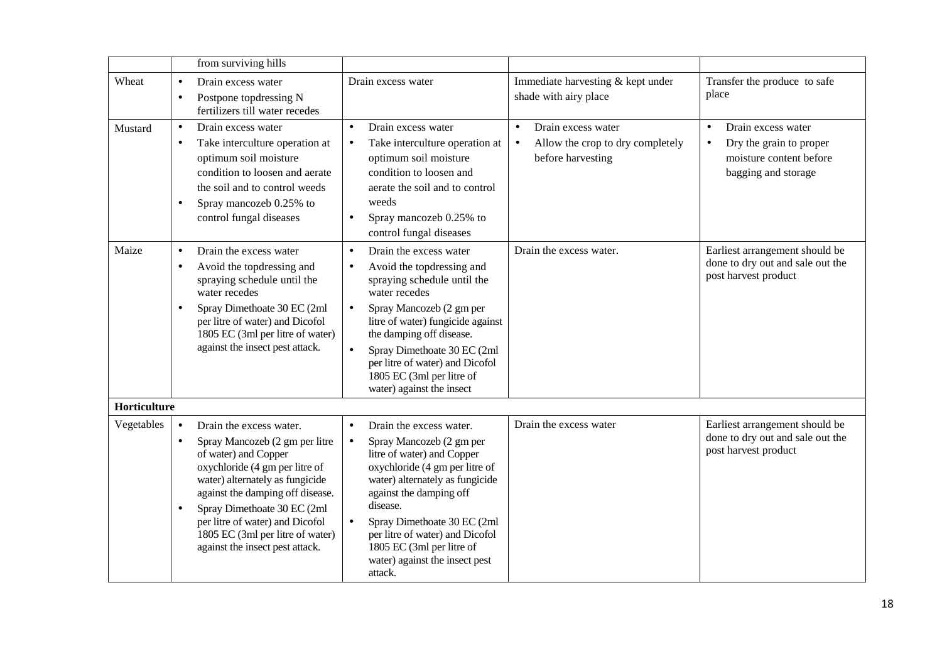|              |                                     | from surviving hills                                                                                                                                                                                                                                                                                                                |                                                                                                                                                                                                                                                                                                                                                                                                             |                                                                                                                                                               |
|--------------|-------------------------------------|-------------------------------------------------------------------------------------------------------------------------------------------------------------------------------------------------------------------------------------------------------------------------------------------------------------------------------------|-------------------------------------------------------------------------------------------------------------------------------------------------------------------------------------------------------------------------------------------------------------------------------------------------------------------------------------------------------------------------------------------------------------|---------------------------------------------------------------------------------------------------------------------------------------------------------------|
| Wheat        | $\bullet$<br>$\bullet$              | Drain excess water<br>Postpone topdressing N<br>fertilizers till water recedes                                                                                                                                                                                                                                                      | Drain excess water<br>shade with airy place                                                                                                                                                                                                                                                                                                                                                                 | Immediate harvesting & kept under<br>Transfer the produce to safe<br>place                                                                                    |
| Mustard      | $\bullet$<br>$\bullet$<br>$\bullet$ | Drain excess water<br>Take interculture operation at<br>optimum soil moisture<br>condition to loosen and aerate<br>the soil and to control weeds<br>Spray mancozeb 0.25% to<br>control fungal diseases                                                                                                                              | Drain excess water<br>Drain excess water<br>$\bullet$<br>$\bullet$<br>Take interculture operation at<br>$\bullet$<br>$\bullet$<br>optimum soil moisture<br>before harvesting<br>condition to loosen and<br>aerate the soil and to control<br>weeds<br>Spray mancozeb 0.25% to<br>$\bullet$<br>control fungal diseases                                                                                       | Drain excess water<br>$\bullet$<br>Allow the crop to dry completely<br>Dry the grain to proper<br>$\bullet$<br>moisture content before<br>bagging and storage |
| Maize        | $\bullet$<br>$\bullet$<br>$\bullet$ | Drain the excess water<br>Avoid the topdressing and<br>spraying schedule until the<br>water recedes<br>Spray Dimethoate 30 EC (2ml<br>per litre of water) and Dicofol<br>1805 EC (3ml per litre of water)<br>against the insect pest attack.                                                                                        | Drain the excess water.<br>Drain the excess water<br>$\bullet$<br>Avoid the topdressing and<br>$\bullet$<br>spraying schedule until the<br>water recedes<br>Spray Mancozeb (2 gm per<br>$\bullet$<br>litre of water) fungicide against<br>the damping off disease.<br>Spray Dimethoate 30 EC (2ml<br>$\bullet$<br>per litre of water) and Dicofol<br>1805 EC (3ml per litre of<br>water) against the insect | Earliest arrangement should be<br>done to dry out and sale out the<br>post harvest product                                                                    |
| Horticulture |                                     |                                                                                                                                                                                                                                                                                                                                     |                                                                                                                                                                                                                                                                                                                                                                                                             |                                                                                                                                                               |
| Vegetables   | $\bullet$<br>$\bullet$<br>$\bullet$ | Drain the excess water.<br>Spray Mancozeb (2 gm per litre<br>of water) and Copper<br>oxychloride (4 gm per litre of<br>water) alternately as fungicide<br>against the damping off disease.<br>Spray Dimethoate 30 EC (2ml<br>per litre of water) and Dicofol<br>1805 EC (3ml per litre of water)<br>against the insect pest attack. | Drain the excess water<br>Drain the excess water.<br>$\bullet$<br>Spray Mancozeb (2 gm per<br>$\bullet$<br>litre of water) and Copper<br>oxychloride (4 gm per litre of<br>water) alternately as fungicide<br>against the damping off<br>disease.<br>Spray Dimethoate 30 EC (2ml<br>$\bullet$<br>per litre of water) and Dicofol<br>1805 EC (3ml per litre of<br>water) against the insect pest<br>attack.  | Earliest arrangement should be<br>done to dry out and sale out the<br>post harvest product                                                                    |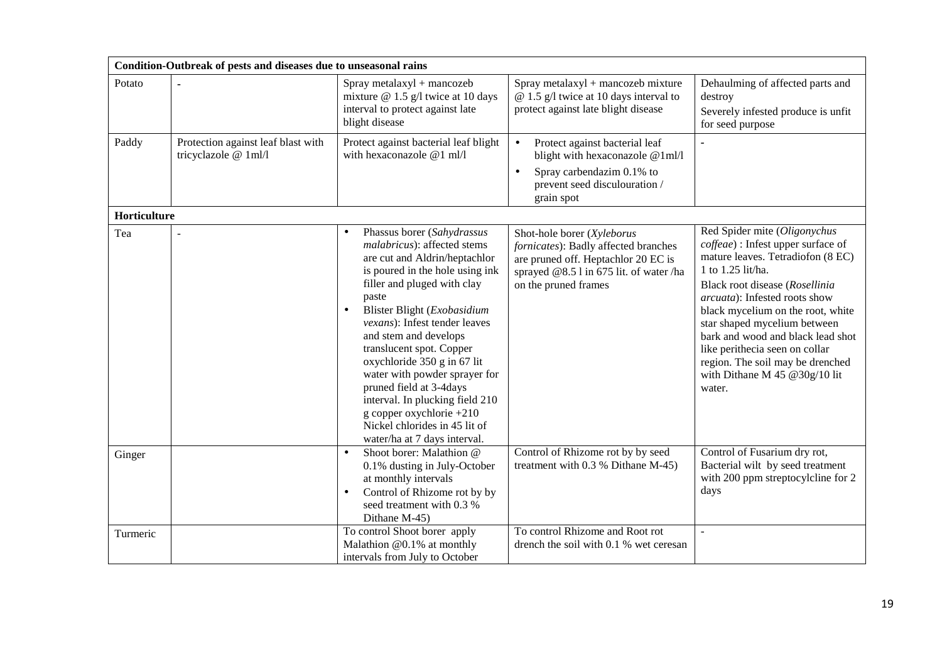|              | Condition-Outbreak of pests and diseases due to unseasonal rains |                                                                                                                                                                                                                                                                                                                                                                                                                                                                                                                                                         |                                                                                                                                                                              |                                                                                                                                                                                                                                                                                                                                                                                                                               |  |  |  |  |
|--------------|------------------------------------------------------------------|---------------------------------------------------------------------------------------------------------------------------------------------------------------------------------------------------------------------------------------------------------------------------------------------------------------------------------------------------------------------------------------------------------------------------------------------------------------------------------------------------------------------------------------------------------|------------------------------------------------------------------------------------------------------------------------------------------------------------------------------|-------------------------------------------------------------------------------------------------------------------------------------------------------------------------------------------------------------------------------------------------------------------------------------------------------------------------------------------------------------------------------------------------------------------------------|--|--|--|--|
| Potato       |                                                                  | Spray metalaxyl + mancozeb<br>mixture $@ 1.5 g/l$ twice at 10 days<br>interval to protect against late<br>blight disease                                                                                                                                                                                                                                                                                                                                                                                                                                | Spray metalaxyl + mancozeb mixture<br>$@ 1.5 g/l$ twice at 10 days interval to<br>protect against late blight disease                                                        | Dehaulming of affected parts and<br>destroy<br>Severely infested produce is unfit<br>for seed purpose                                                                                                                                                                                                                                                                                                                         |  |  |  |  |
| Paddy        | Protection against leaf blast with<br>tricyclazole @ 1ml/l       | Protect against bacterial leaf blight<br>with hexaconazole @1 ml/l                                                                                                                                                                                                                                                                                                                                                                                                                                                                                      | $\bullet$<br>Protect against bacterial leaf<br>blight with hexaconazole @1ml/l<br>Spray carbendazim 0.1% to<br>$\bullet$<br>prevent seed disculouration /<br>grain spot      |                                                                                                                                                                                                                                                                                                                                                                                                                               |  |  |  |  |
| Horticulture |                                                                  |                                                                                                                                                                                                                                                                                                                                                                                                                                                                                                                                                         |                                                                                                                                                                              |                                                                                                                                                                                                                                                                                                                                                                                                                               |  |  |  |  |
| Tea          |                                                                  | Phassus borer (Sahydrassus<br>$\bullet$<br>malabricus): affected stems<br>are cut and Aldrin/heptachlor<br>is poured in the hole using ink<br>filler and pluged with clay<br>paste<br>Blister Blight (Exobasidium<br>$\bullet$<br><i>vexans</i> ): Infest tender leaves<br>and stem and develops<br>translucent spot. Copper<br>oxychloride 350 g in 67 lit<br>water with powder sprayer for<br>pruned field at 3-4days<br>interval. In plucking field 210<br>g copper oxychlorie +210<br>Nickel chlorides in 45 lit of<br>water/ha at 7 days interval. | Shot-hole borer (Xyleborus<br>fornicates): Badly affected branches<br>are pruned off. Heptachlor 20 EC is<br>sprayed @8.5 l in 675 lit. of water /ha<br>on the pruned frames | Red Spider mite (Oligonychus<br>coffeae) : Infest upper surface of<br>mature leaves. Tetradiofon (8 EC)<br>1 to 1.25 lit/ha.<br>Black root disease (Rosellinia<br>arcuata): Infested roots show<br>black mycelium on the root, white<br>star shaped mycelium between<br>bark and wood and black lead shot<br>like perithecia seen on collar<br>region. The soil may be drenched<br>with Dithane M 45 @ $30g/10$ lit<br>water. |  |  |  |  |
| Ginger       |                                                                  | Shoot borer: Malathion @<br>$\bullet$<br>0.1% dusting in July-October<br>at monthly intervals<br>Control of Rhizome rot by by<br>$\bullet$<br>seed treatment with 0.3 %<br>Dithane M-45)                                                                                                                                                                                                                                                                                                                                                                | Control of Rhizome rot by by seed<br>treatment with 0.3 % Dithane M-45)                                                                                                      | Control of Fusarium dry rot,<br>Bacterial wilt by seed treatment<br>with 200 ppm streptocylcline for 2<br>days                                                                                                                                                                                                                                                                                                                |  |  |  |  |
| Turmeric     |                                                                  | To control Shoot borer apply<br>Malathion @0.1% at monthly<br>intervals from July to October                                                                                                                                                                                                                                                                                                                                                                                                                                                            | To control Rhizome and Root rot<br>drench the soil with 0.1 % wet ceresan                                                                                                    | $\mathbb{Z}^2$                                                                                                                                                                                                                                                                                                                                                                                                                |  |  |  |  |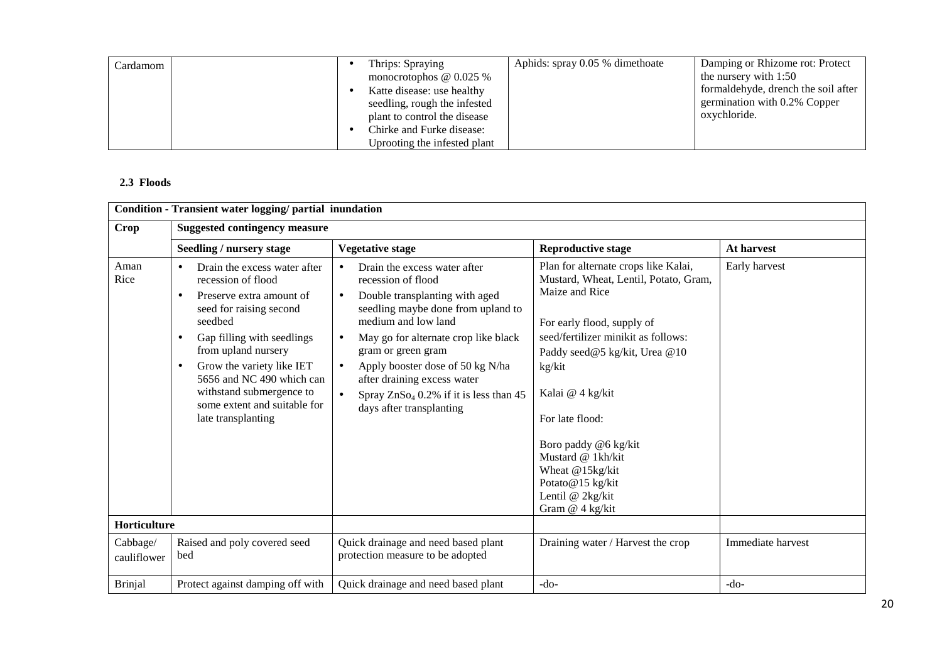| Cardamom | Thrips: Spraying<br>monocrotophos $@0.025\%$<br>Katte disease: use healthy<br>seedling, rough the infested<br>plant to control the disease | Aphids: spray 0.05 % dimethoate | Damping or Rhizome rot: Protect<br>the nursery with $1:50$<br>formaldehyde, drench the soil after<br>germination with 0.2% Copper<br>oxychloride. |
|----------|--------------------------------------------------------------------------------------------------------------------------------------------|---------------------------------|---------------------------------------------------------------------------------------------------------------------------------------------------|
|          | Chirke and Furke disease:<br>Uprooting the infested plant                                                                                  |                                 |                                                                                                                                                   |

#### **2.3 Floods**

|                         | Condition - Transient water logging/ partial inundation                                                                                                                                                                                                                                                                                           |                                                                                                                                                                                                                                                                                                                                                                                                   |                                                                                                                                                                                                                                                                                                                                                                                   |                   |  |  |
|-------------------------|---------------------------------------------------------------------------------------------------------------------------------------------------------------------------------------------------------------------------------------------------------------------------------------------------------------------------------------------------|---------------------------------------------------------------------------------------------------------------------------------------------------------------------------------------------------------------------------------------------------------------------------------------------------------------------------------------------------------------------------------------------------|-----------------------------------------------------------------------------------------------------------------------------------------------------------------------------------------------------------------------------------------------------------------------------------------------------------------------------------------------------------------------------------|-------------------|--|--|
| <b>Crop</b>             | <b>Suggested contingency measure</b>                                                                                                                                                                                                                                                                                                              |                                                                                                                                                                                                                                                                                                                                                                                                   |                                                                                                                                                                                                                                                                                                                                                                                   |                   |  |  |
|                         | Seedling / nursery stage                                                                                                                                                                                                                                                                                                                          | <b>Vegetative stage</b>                                                                                                                                                                                                                                                                                                                                                                           | <b>Reproductive stage</b>                                                                                                                                                                                                                                                                                                                                                         | At harvest        |  |  |
| Aman<br>Rice            | Drain the excess water after<br>$\bullet$<br>recession of flood<br>Preserve extra amount of<br>٠<br>seed for raising second<br>seedbed<br>Gap filling with seedlings<br>٠<br>from upland nursery<br>Grow the variety like IET<br>٠<br>5656 and NC 490 which can<br>withstand submergence to<br>some extent and suitable for<br>late transplanting | Drain the excess water after<br>$\bullet$<br>recession of flood<br>Double transplanting with aged<br>$\bullet$<br>seedling maybe done from upland to<br>medium and low land<br>May go for alternate crop like black<br>gram or green gram<br>Apply booster dose of 50 kg N/ha<br>$\bullet$<br>after draining excess water<br>Spray $ZnSo4 0.2%$ if it is less than 45<br>days after transplanting | Plan for alternate crops like Kalai,<br>Mustard, Wheat, Lentil, Potato, Gram,<br>Maize and Rice<br>For early flood, supply of<br>seed/fertilizer minikit as follows:<br>Paddy seed@5 kg/kit, Urea @10<br>kg/kit<br>Kalai @ 4 kg/kit<br>For late flood:<br>Boro paddy @6 kg/kit<br>Mustard @ 1kh/kit<br>Wheat @15kg/kit<br>Potato@15 kg/kit<br>Lentil @ 2kg/kit<br>Gram @ 4 kg/kit | Early harvest     |  |  |
| Horticulture            |                                                                                                                                                                                                                                                                                                                                                   |                                                                                                                                                                                                                                                                                                                                                                                                   |                                                                                                                                                                                                                                                                                                                                                                                   |                   |  |  |
| Cabbage/<br>cauliflower | Raised and poly covered seed<br>bed                                                                                                                                                                                                                                                                                                               | Quick drainage and need based plant<br>protection measure to be adopted                                                                                                                                                                                                                                                                                                                           | Draining water / Harvest the crop                                                                                                                                                                                                                                                                                                                                                 | Immediate harvest |  |  |
| <b>Brinjal</b>          | Protect against damping off with                                                                                                                                                                                                                                                                                                                  | Quick drainage and need based plant                                                                                                                                                                                                                                                                                                                                                               | $-do-$                                                                                                                                                                                                                                                                                                                                                                            | $-do-$            |  |  |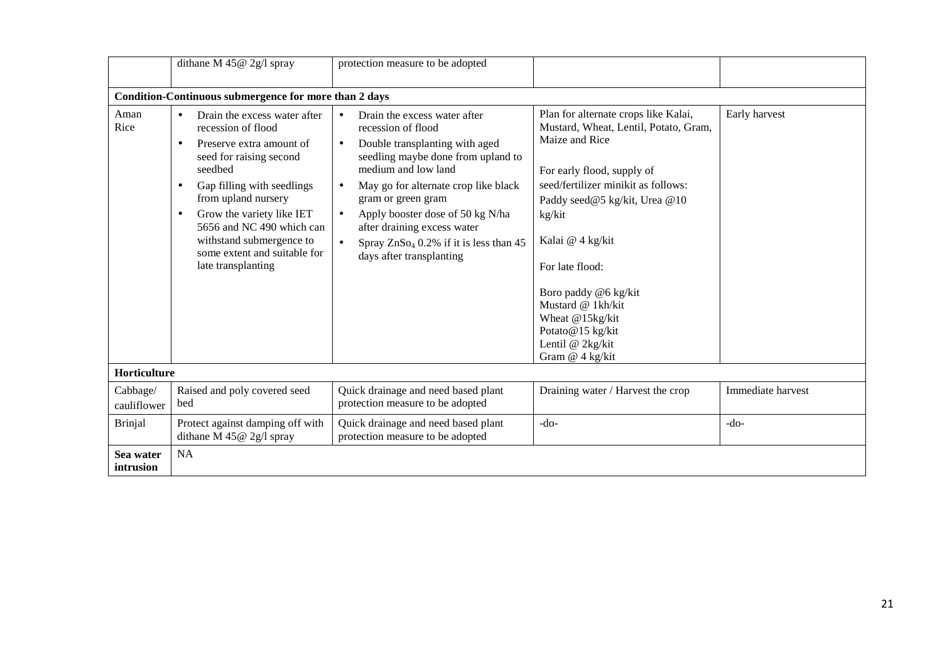|                         | dithane M $45@$ 2g/l spray                                                                                                                                                                                                                                                                                                                                   | protection measure to be adopted                                                                                                                                                                                                                                                                                                                                                                               |                                                                                                                                                                                                                                                                                                                                                                                   |                   |
|-------------------------|--------------------------------------------------------------------------------------------------------------------------------------------------------------------------------------------------------------------------------------------------------------------------------------------------------------------------------------------------------------|----------------------------------------------------------------------------------------------------------------------------------------------------------------------------------------------------------------------------------------------------------------------------------------------------------------------------------------------------------------------------------------------------------------|-----------------------------------------------------------------------------------------------------------------------------------------------------------------------------------------------------------------------------------------------------------------------------------------------------------------------------------------------------------------------------------|-------------------|
|                         | Condition-Continuous submergence for more than 2 days                                                                                                                                                                                                                                                                                                        |                                                                                                                                                                                                                                                                                                                                                                                                                |                                                                                                                                                                                                                                                                                                                                                                                   |                   |
| Aman<br>Rice            | Drain the excess water after<br>$\bullet$<br>recession of flood<br>Preserve extra amount of<br>seed for raising second<br>seedbed<br>Gap filling with seedlings<br>$\bullet$<br>from upland nursery<br>Grow the variety like IET<br>$\bullet$<br>5656 and NC 490 which can<br>withstand submergence to<br>some extent and suitable for<br>late transplanting | Drain the excess water after<br>$\bullet$<br>recession of flood<br>Double transplanting with aged<br>$\bullet$<br>seedling maybe done from upland to<br>medium and low land<br>May go for alternate crop like black<br>$\bullet$<br>gram or green gram<br>Apply booster dose of 50 kg N/ha<br>$\bullet$<br>after draining excess water<br>Spray $ZnSo4 0.2%$ if it is less than 45<br>days after transplanting | Plan for alternate crops like Kalai,<br>Mustard, Wheat, Lentil, Potato, Gram,<br>Maize and Rice<br>For early flood, supply of<br>seed/fertilizer minikit as follows:<br>Paddy seed@5 kg/kit, Urea @10<br>kg/kit<br>Kalai @ 4 kg/kit<br>For late flood:<br>Boro paddy @6 kg/kit<br>Mustard @ 1kh/kit<br>Wheat @15kg/kit<br>Potato@15 kg/kit<br>Lentil @ 2kg/kit<br>Gram @ 4 kg/kit | Early harvest     |
| Horticulture            |                                                                                                                                                                                                                                                                                                                                                              |                                                                                                                                                                                                                                                                                                                                                                                                                |                                                                                                                                                                                                                                                                                                                                                                                   |                   |
| Cabbage/<br>cauliflower | Raised and poly covered seed<br>bed                                                                                                                                                                                                                                                                                                                          | Quick drainage and need based plant<br>protection measure to be adopted                                                                                                                                                                                                                                                                                                                                        | Draining water / Harvest the crop                                                                                                                                                                                                                                                                                                                                                 | Immediate harvest |
| <b>Brinjal</b>          | Protect against damping off with<br>dithane M $45@$ 2g/l spray                                                                                                                                                                                                                                                                                               | Quick drainage and need based plant<br>protection measure to be adopted                                                                                                                                                                                                                                                                                                                                        | $-do-$                                                                                                                                                                                                                                                                                                                                                                            | $-do-$            |
| Sea water<br>intrusion  | <b>NA</b>                                                                                                                                                                                                                                                                                                                                                    |                                                                                                                                                                                                                                                                                                                                                                                                                |                                                                                                                                                                                                                                                                                                                                                                                   |                   |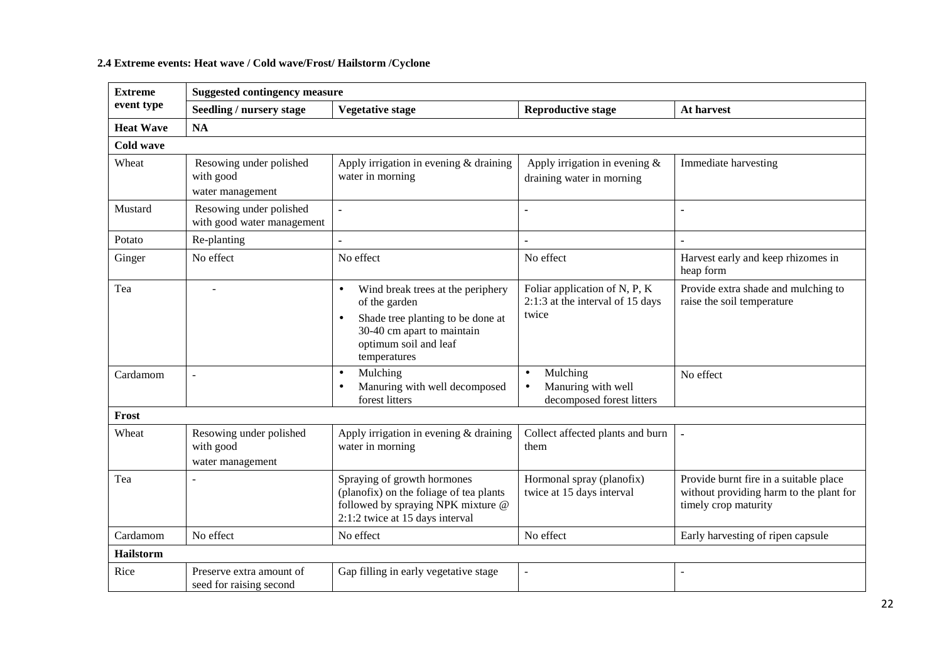#### **2.4 Extreme events: Heat wave / Cold wave/Frost/ Hailstorm /Cyclone**

| <b>Extreme</b>   | <b>Suggested contingency measure</b>                     |                                                                                                                                                                             |                                                                                       |                                                                                                           |  |  |
|------------------|----------------------------------------------------------|-----------------------------------------------------------------------------------------------------------------------------------------------------------------------------|---------------------------------------------------------------------------------------|-----------------------------------------------------------------------------------------------------------|--|--|
| event type       | Seedling / nursery stage                                 | <b>Vegetative stage</b>                                                                                                                                                     | <b>Reproductive stage</b>                                                             | At harvest                                                                                                |  |  |
| <b>Heat Wave</b> | NA                                                       |                                                                                                                                                                             |                                                                                       |                                                                                                           |  |  |
| <b>Cold wave</b> |                                                          |                                                                                                                                                                             |                                                                                       |                                                                                                           |  |  |
| Wheat            | Resowing under polished<br>with good<br>water management | Apply irrigation in evening $&$ draining<br>water in morning                                                                                                                | Apply irrigation in evening $\&$<br>draining water in morning                         | Immediate harvesting                                                                                      |  |  |
| Mustard          | Resowing under polished<br>with good water management    | $\blacksquare$                                                                                                                                                              |                                                                                       |                                                                                                           |  |  |
| Potato           | Re-planting                                              |                                                                                                                                                                             |                                                                                       |                                                                                                           |  |  |
| Ginger           | No effect                                                | No effect                                                                                                                                                                   | No effect                                                                             | Harvest early and keep rhizomes in<br>heap form                                                           |  |  |
| Tea              | ٠                                                        | Wind break trees at the periphery<br>$\bullet$<br>of the garden<br>Shade tree planting to be done at<br>30-40 cm apart to maintain<br>optimum soil and leaf<br>temperatures | Foliar application of N, P, K<br>2:1:3 at the interval of 15 days<br>twice            | Provide extra shade and mulching to<br>raise the soil temperature                                         |  |  |
| Cardamom         | $\overline{a}$                                           | Mulching<br>$\bullet$<br>Manuring with well decomposed<br>$\bullet$<br>forest litters                                                                                       | Mulching<br>$\bullet$<br>Manuring with well<br>$\bullet$<br>decomposed forest litters | No effect                                                                                                 |  |  |
| Frost            |                                                          |                                                                                                                                                                             |                                                                                       |                                                                                                           |  |  |
| Wheat            | Resowing under polished<br>with good<br>water management | Apply irrigation in evening & draining<br>water in morning                                                                                                                  | Collect affected plants and burn<br>them                                              |                                                                                                           |  |  |
| Tea              |                                                          | Spraying of growth hormones<br>(planofix) on the foliage of tea plants<br>followed by spraying NPK mixture @<br>2:1:2 twice at 15 days interval                             | Hormonal spray (planofix)<br>twice at 15 days interval                                | Provide burnt fire in a suitable place<br>without providing harm to the plant for<br>timely crop maturity |  |  |
| Cardamom         | No effect                                                | No effect                                                                                                                                                                   | No effect                                                                             | Early harvesting of ripen capsule                                                                         |  |  |
| Hailstorm        |                                                          |                                                                                                                                                                             |                                                                                       |                                                                                                           |  |  |
| Rice             | Preserve extra amount of<br>seed for raising second      | Gap filling in early vegetative stage                                                                                                                                       | ÷,                                                                                    | $\sim$                                                                                                    |  |  |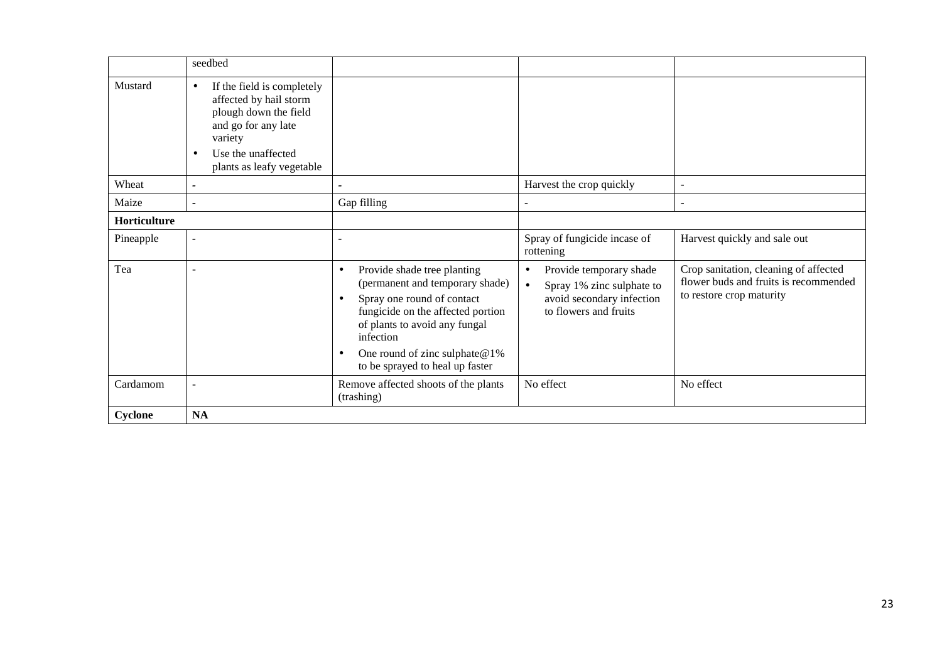|              | seedbed                                                                                                                                                                                      |                                                                                                                                                                                                                                   |                                                                                                                                      |                                                                                                            |
|--------------|----------------------------------------------------------------------------------------------------------------------------------------------------------------------------------------------|-----------------------------------------------------------------------------------------------------------------------------------------------------------------------------------------------------------------------------------|--------------------------------------------------------------------------------------------------------------------------------------|------------------------------------------------------------------------------------------------------------|
| Mustard      | If the field is completely<br>$\bullet$<br>affected by hail storm<br>plough down the field<br>and go for any late<br>variety<br>Use the unaffected<br>$\bullet$<br>plants as leafy vegetable |                                                                                                                                                                                                                                   |                                                                                                                                      |                                                                                                            |
| Wheat        | $\tilde{\phantom{a}}$                                                                                                                                                                        |                                                                                                                                                                                                                                   | Harvest the crop quickly                                                                                                             | $\overline{a}$                                                                                             |
| Maize        | $\overline{\phantom{0}}$                                                                                                                                                                     | Gap filling                                                                                                                                                                                                                       |                                                                                                                                      | ۰                                                                                                          |
| Horticulture |                                                                                                                                                                                              |                                                                                                                                                                                                                                   |                                                                                                                                      |                                                                                                            |
| Pineapple    | $\overline{\phantom{a}}$                                                                                                                                                                     |                                                                                                                                                                                                                                   | Spray of fungicide incase of<br>rottening                                                                                            | Harvest quickly and sale out                                                                               |
| Tea          |                                                                                                                                                                                              | Provide shade tree planting<br>$\bullet$<br>(permanent and temporary shade)<br>Spray one round of contact<br>fungicide on the affected portion<br>of plants to avoid any fungal<br>infection<br>One round of zinc sulphate $@1\%$ | Provide temporary shade<br>$\bullet$<br>Spray 1% zinc sulphate to<br>$\bullet$<br>avoid secondary infection<br>to flowers and fruits | Crop sanitation, cleaning of affected<br>flower buds and fruits is recommended<br>to restore crop maturity |
|              |                                                                                                                                                                                              | to be sprayed to heal up faster                                                                                                                                                                                                   |                                                                                                                                      |                                                                                                            |
| Cardamom     | $\overline{a}$                                                                                                                                                                               | Remove affected shoots of the plants<br>(trashing)                                                                                                                                                                                | No effect                                                                                                                            | No effect                                                                                                  |
| Cyclone      | <b>NA</b>                                                                                                                                                                                    |                                                                                                                                                                                                                                   |                                                                                                                                      |                                                                                                            |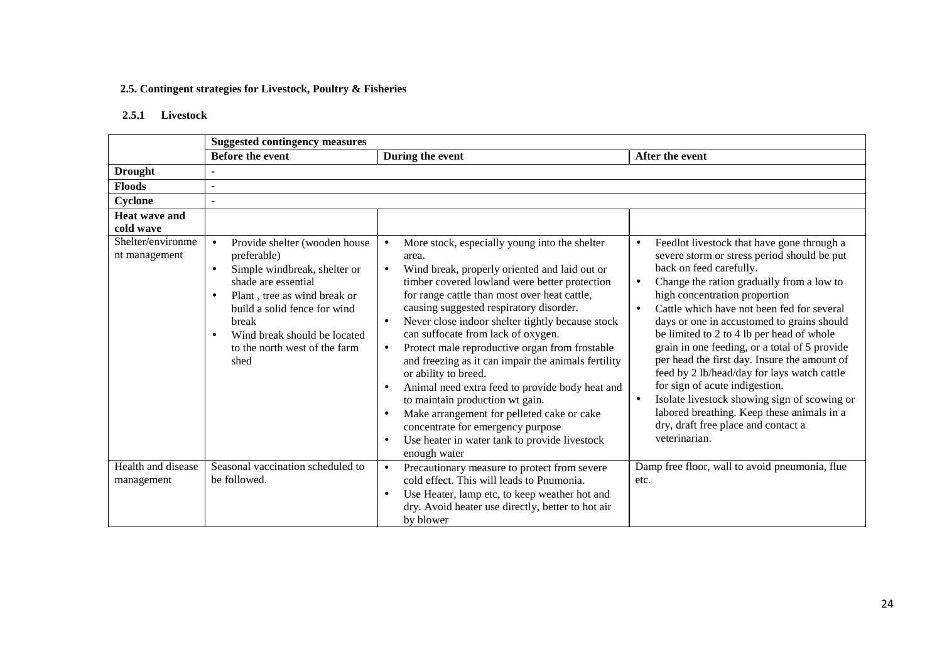#### **2.5. Contingent strategies for Livestock, Poultry & Fisheries**

#### **2.5.1 Livestock**

|                                    | <b>Suggested contingency measures</b>                                                                                                                                                                                                                                                                     |                                                                                                                                                                                                                                                                                                                                                                                                                                                                                                                                                                                                                                                                                                                                                                                           |                                                                                                                                                                                                                                                                                                                                                                                                                                                                                                                                                                                                                                                                                                                                         |  |
|------------------------------------|-----------------------------------------------------------------------------------------------------------------------------------------------------------------------------------------------------------------------------------------------------------------------------------------------------------|-------------------------------------------------------------------------------------------------------------------------------------------------------------------------------------------------------------------------------------------------------------------------------------------------------------------------------------------------------------------------------------------------------------------------------------------------------------------------------------------------------------------------------------------------------------------------------------------------------------------------------------------------------------------------------------------------------------------------------------------------------------------------------------------|-----------------------------------------------------------------------------------------------------------------------------------------------------------------------------------------------------------------------------------------------------------------------------------------------------------------------------------------------------------------------------------------------------------------------------------------------------------------------------------------------------------------------------------------------------------------------------------------------------------------------------------------------------------------------------------------------------------------------------------------|--|
|                                    | <b>Before the event</b>                                                                                                                                                                                                                                                                                   | During the event                                                                                                                                                                                                                                                                                                                                                                                                                                                                                                                                                                                                                                                                                                                                                                          | After the event                                                                                                                                                                                                                                                                                                                                                                                                                                                                                                                                                                                                                                                                                                                         |  |
| <b>Drought</b>                     |                                                                                                                                                                                                                                                                                                           |                                                                                                                                                                                                                                                                                                                                                                                                                                                                                                                                                                                                                                                                                                                                                                                           |                                                                                                                                                                                                                                                                                                                                                                                                                                                                                                                                                                                                                                                                                                                                         |  |
| <b>Floods</b>                      | $\overline{\phantom{a}}$                                                                                                                                                                                                                                                                                  |                                                                                                                                                                                                                                                                                                                                                                                                                                                                                                                                                                                                                                                                                                                                                                                           |                                                                                                                                                                                                                                                                                                                                                                                                                                                                                                                                                                                                                                                                                                                                         |  |
| Cyclone                            |                                                                                                                                                                                                                                                                                                           |                                                                                                                                                                                                                                                                                                                                                                                                                                                                                                                                                                                                                                                                                                                                                                                           |                                                                                                                                                                                                                                                                                                                                                                                                                                                                                                                                                                                                                                                                                                                                         |  |
| Heat wave and                      |                                                                                                                                                                                                                                                                                                           |                                                                                                                                                                                                                                                                                                                                                                                                                                                                                                                                                                                                                                                                                                                                                                                           |                                                                                                                                                                                                                                                                                                                                                                                                                                                                                                                                                                                                                                                                                                                                         |  |
| cold wave                          |                                                                                                                                                                                                                                                                                                           |                                                                                                                                                                                                                                                                                                                                                                                                                                                                                                                                                                                                                                                                                                                                                                                           |                                                                                                                                                                                                                                                                                                                                                                                                                                                                                                                                                                                                                                                                                                                                         |  |
| Shelter/environme<br>nt management | Provide shelter (wooden house<br>$\bullet$<br>preferable)<br>Simple windbreak, shelter or<br>$\bullet$<br>shade are essential<br>Plant, tree as wind break or<br>$\bullet$<br>build a solid fence for wind<br>break<br>Wind break should be located<br>$\bullet$<br>to the north west of the farm<br>shed | More stock, especially young into the shelter<br>$\bullet$<br>area.<br>Wind break, properly oriented and laid out or<br>$\bullet$<br>timber covered lowland were better protection<br>for range cattle than most over heat cattle,<br>causing suggested respiratory disorder.<br>Never close indoor shelter tightly because stock<br>can suffocate from lack of oxygen.<br>Protect male reproductive organ from frostable<br>and freezing as it can impair the animals fertility<br>or ability to breed.<br>Animal need extra feed to provide body heat and<br>$\bullet$<br>to maintain production wt gain.<br>Make arrangement for pelleted cake or cake<br>$\bullet$<br>concentrate for emergency purpose<br>Use heater in water tank to provide livestock<br>$\bullet$<br>enough water | Feedlot livestock that have gone through a<br>$\bullet$<br>severe storm or stress period should be put<br>back on feed carefully.<br>Change the ration gradually from a low to<br>$\bullet$<br>high concentration proportion<br>Cattle which have not been fed for several<br>$\bullet$<br>days or one in accustomed to grains should<br>be limited to 2 to 4 lb per head of whole<br>grain in one feeding, or a total of 5 provide<br>per head the first day. Insure the amount of<br>feed by 2 lb/head/day for lays watch cattle<br>for sign of acute indigestion.<br>Isolate livestock showing sign of scowing or<br>$\bullet$<br>labored breathing. Keep these animals in a<br>dry, draft free place and contact a<br>veterinarian. |  |
| Health and disease<br>management   | Seasonal vaccination scheduled to<br>be followed.                                                                                                                                                                                                                                                         | Precautionary measure to protect from severe<br>$\bullet$<br>cold effect. This will leads to Pnumonia.<br>Use Heater, lamp etc, to keep weather hot and<br>$\bullet$<br>dry. Avoid heater use directly, better to hot air<br>by blower                                                                                                                                                                                                                                                                                                                                                                                                                                                                                                                                                    | Damp free floor, wall to avoid pneumonia, flue<br>etc.                                                                                                                                                                                                                                                                                                                                                                                                                                                                                                                                                                                                                                                                                  |  |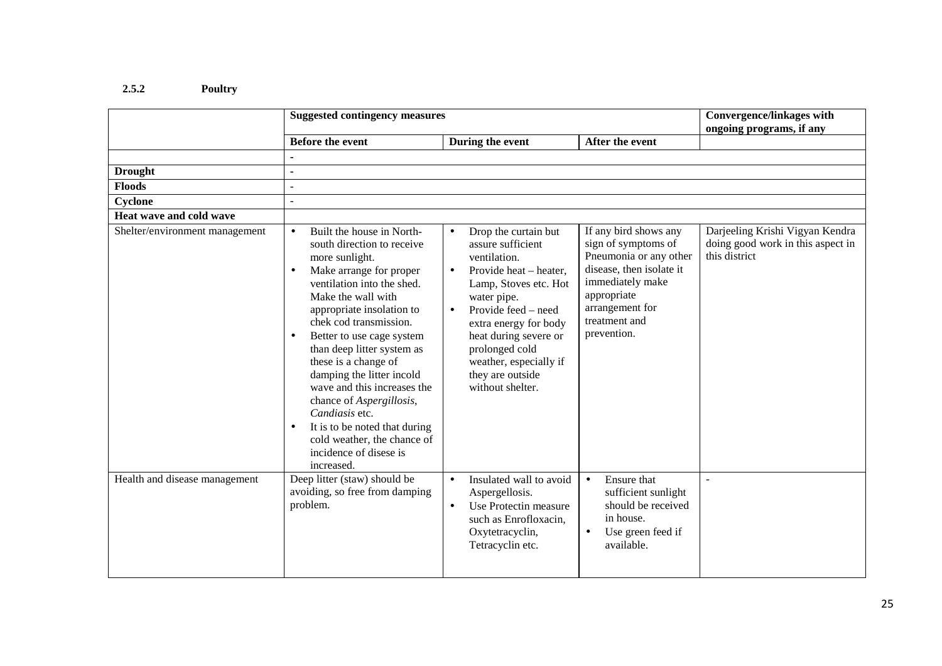## **2.5.2 Poultry**

|                                | <b>Suggested contingency measures</b>                                                                                                                                                                                                                                                                                                                                                                                                                                                                                             | <b>Convergence/linkages with</b><br>ongoing programs, if any                                                                                                                                                                                                                                                                    |                                                                                                                                                                                          |                                                                                       |
|--------------------------------|-----------------------------------------------------------------------------------------------------------------------------------------------------------------------------------------------------------------------------------------------------------------------------------------------------------------------------------------------------------------------------------------------------------------------------------------------------------------------------------------------------------------------------------|---------------------------------------------------------------------------------------------------------------------------------------------------------------------------------------------------------------------------------------------------------------------------------------------------------------------------------|------------------------------------------------------------------------------------------------------------------------------------------------------------------------------------------|---------------------------------------------------------------------------------------|
|                                | <b>Before the event</b>                                                                                                                                                                                                                                                                                                                                                                                                                                                                                                           | During the event                                                                                                                                                                                                                                                                                                                | After the event                                                                                                                                                                          |                                                                                       |
|                                |                                                                                                                                                                                                                                                                                                                                                                                                                                                                                                                                   |                                                                                                                                                                                                                                                                                                                                 |                                                                                                                                                                                          |                                                                                       |
| <b>Drought</b>                 | $\blacksquare$                                                                                                                                                                                                                                                                                                                                                                                                                                                                                                                    |                                                                                                                                                                                                                                                                                                                                 |                                                                                                                                                                                          |                                                                                       |
| <b>Floods</b>                  | $\sim$                                                                                                                                                                                                                                                                                                                                                                                                                                                                                                                            |                                                                                                                                                                                                                                                                                                                                 |                                                                                                                                                                                          |                                                                                       |
| Cyclone                        | $\overline{a}$                                                                                                                                                                                                                                                                                                                                                                                                                                                                                                                    |                                                                                                                                                                                                                                                                                                                                 |                                                                                                                                                                                          |                                                                                       |
| Heat wave and cold wave        |                                                                                                                                                                                                                                                                                                                                                                                                                                                                                                                                   |                                                                                                                                                                                                                                                                                                                                 |                                                                                                                                                                                          |                                                                                       |
| Shelter/environment management | Built the house in North-<br>$\bullet$<br>south direction to receive<br>more sunlight.<br>Make arrange for proper<br>ventilation into the shed.<br>Make the wall with<br>appropriate insolation to<br>chek cod transmission.<br>Better to use cage system<br>than deep litter system as<br>these is a change of<br>damping the litter incold<br>wave and this increases the<br>chance of Aspergillosis,<br>Candiasis etc.<br>It is to be noted that during<br>cold weather, the chance of<br>incidence of disese is<br>increased. | Drop the curtain but<br>$\bullet$<br>assure sufficient<br>ventilation.<br>Provide heat - heater,<br>$\bullet$<br>Lamp, Stoves etc. Hot<br>water pipe.<br>Provide feed – need<br>$\bullet$<br>extra energy for body<br>heat during severe or<br>prolonged cold<br>weather, especially if<br>they are outside<br>without shelter. | If any bird shows any<br>sign of symptoms of<br>Pneumonia or any other<br>disease, then isolate it<br>immediately make<br>appropriate<br>arrangement for<br>treatment and<br>prevention. | Darjeeling Krishi Vigyan Kendra<br>doing good work in this aspect in<br>this district |
| Health and disease management  | Deep litter (staw) should be<br>avoiding, so free from damping<br>problem.                                                                                                                                                                                                                                                                                                                                                                                                                                                        | Insulated wall to avoid<br>$\bullet$<br>Aspergellosis.<br>Use Protectin measure<br>$\bullet$<br>such as Enrofloxacin,<br>Oxytetracyclin,<br>Tetracyclin etc.                                                                                                                                                                    | Ensure that<br>$\bullet$<br>sufficient sunlight<br>should be received<br>in house.<br>Use green feed if<br>available.                                                                    | $\sim$                                                                                |